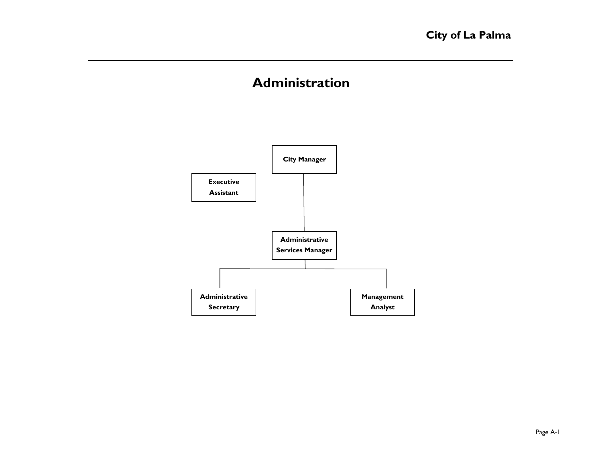# **Administration**

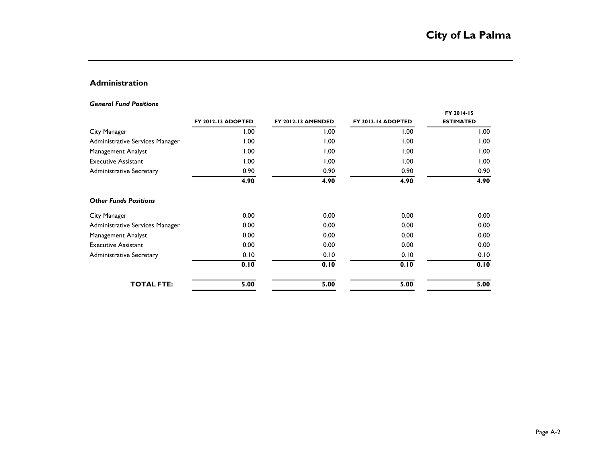# **Administration**

#### *General Fund Positions*

|                                 | FY 2012-13 ADOPTED | <b>FY 2012-13 AMENDED</b> | FY 2013-14 ADOPTED | FY 2014-15<br><b>ESTIMATED</b> |
|---------------------------------|--------------------|---------------------------|--------------------|--------------------------------|
| City Manager                    | 00.1               | 1.00                      | 1.00               | 1.00                           |
| Administrative Services Manager | 00.1               | 1.00                      | 1.00               | 1.00                           |
| Management Analyst              | 1.00               | 1.00                      | 1.00               | 1.00                           |
| <b>Executive Assistant</b>      | 1.00               | 1.00                      | 1.00               | 1.00                           |
| <b>Administrative Secretary</b> | 0.90               | 0.90                      | 0.90               | 0.90                           |
|                                 | 4.90               | 4.90                      | 4.90               | 4.90                           |
| <b>Other Funds Positions</b>    |                    |                           |                    |                                |
| City Manager                    | 0.00               | 0.00                      | 0.00               | 0.00                           |
| Administrative Services Manager | 0.00               | 0.00                      | 0.00               | 0.00                           |
| Management Analyst              | 0.00               | 0.00                      | 0.00               | 0.00                           |
| <b>Executive Assistant</b>      | 0.00               | 0.00                      | 0.00               | 0.00                           |
| <b>Administrative Secretary</b> | 0.10               | 0.10                      | 0.10               | 0.10                           |
|                                 | 0.10               | 0.10                      | 0.10               | 0.10                           |
| <b>TOTAL FTE:</b>               | 5.00               | 5.00                      | 5.00               | 5.00                           |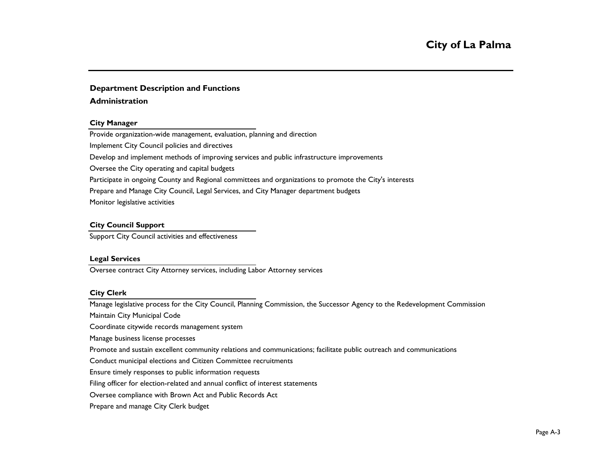#### **Department Description and Functions**

#### **Administration**

#### **City Manager**

Provide organization-wide management, evaluation, planning and direction Implement City Council policies and directives Develop and implement methods of improving services and public infrastructure improvements Oversee the City operating and capital budgets Participate in ongoing County and Regional committees and organizations to promote the City's interests Prepare and Manage City Council, Legal Services, and City Manager department budgets Monitor legislative activities

#### **City Council Support**

Support City Council activities and effectiveness

#### **Legal Services**

Oversee contract City Attorney services, including Labor Attorney services

#### **City Clerk**

Manage legislative process for the City Council, Planning Commission, the Successor Agency to the Redevelopment Commission

Maintain City Municipal Code

Coordinate citywide records management system

Manage business license processes

Promote and sustain excellent community relations and communications; facilitate public outreach and communications

Conduct municipal elections and Citizen Committee recruitments

Ensure timely responses to public information requests

Filing officer for election-related and annual conflict of interest statements

Oversee compliance with Brown Act and Public Records Act

Prepare and manage City Clerk budget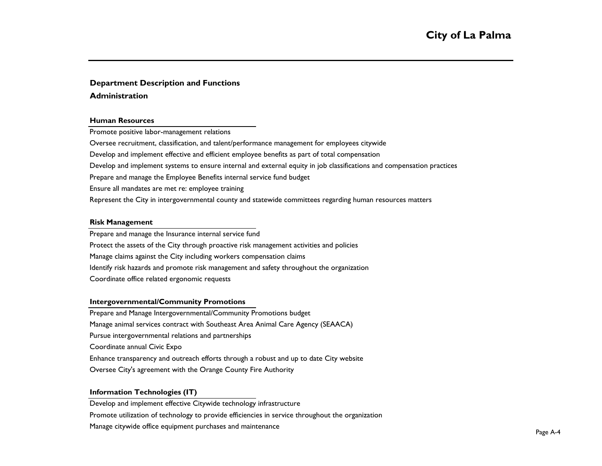#### **Department Description and Functions**

#### **Administration**

#### **Human Resources**

Promote positive labor-management relations

Oversee recruitment, classification, and talent/performance management for employees citywide

Develop and implement effective and efficient employee benefits as part of total compensation

Develop and implement systems to ensure internal and external equity in job classifications and compensation practices

Prepare and manage the Employee Benefits internal service fund budget

Ensure all mandates are met re: employee training

Represent the City in intergovernmental county and statewide committees regarding human resources matters

#### **Risk Management**

Prepare and manage the Insurance internal service fund Protect the assets of the City through proactive risk management activities and policies Manage claims against the City including workers compensation claims Identify risk hazards and promote risk management and safety throughout the organization Coordinate office related ergonomic requests

#### **Intergovernmental/Community Promotions**

Prepare and Manage Intergovernmental/Community Promotions budget Manage animal services contract with Southeast Area Animal Care Agency (SEAACA) Pursue intergovernmental relations and partnerships Coordinate annual Civic Expo Enhance transparency and outreach efforts through a robust and up to date City website Oversee City's agreement with the Orange County Fire Authority

### **Information Technologies (IT)**

Develop and implement effective Citywide technology infrastructure Promote utilization of technology to provide efficiencies in service throughout the organization Manage citywide office equipment purchases and maintenance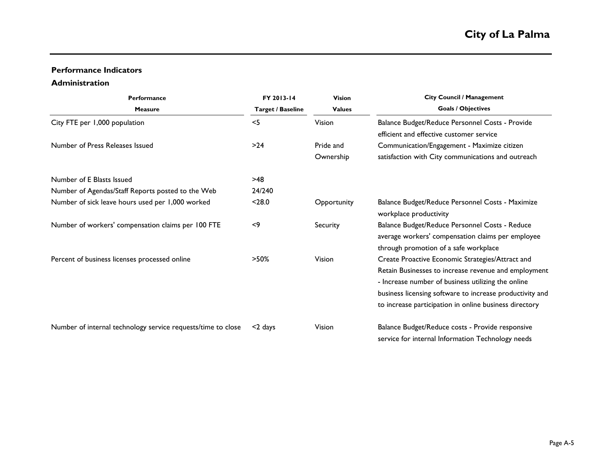# **Performance Indicators**

# **Administration**

| <b>Performance</b>                                           | FY 2013-14        | <b>Vision</b> | <b>City Council / Management</b>                                           |  |  |  |  |  |
|--------------------------------------------------------------|-------------------|---------------|----------------------------------------------------------------------------|--|--|--|--|--|
| <b>Measure</b>                                               | Target / Baseline | <b>Values</b> | <b>Goals / Objectives</b>                                                  |  |  |  |  |  |
| City FTE per 1,000 population                                | $<$ 5             | Vision        | Balance Budget/Reduce Personnel Costs - Provide                            |  |  |  |  |  |
|                                                              |                   |               | efficient and effective customer service                                   |  |  |  |  |  |
| Number of Press Releases Issued                              | $>24$             | Pride and     | Communication/Engagement - Maximize citizen                                |  |  |  |  |  |
|                                                              |                   | Ownership     | satisfaction with City communications and outreach                         |  |  |  |  |  |
| Number of E Blasts Issued                                    | $>48$             |               |                                                                            |  |  |  |  |  |
| Number of Agendas/Staff Reports posted to the Web            | 24/240            |               |                                                                            |  |  |  |  |  |
| Number of sick leave hours used per 1,000 worked             | $28.0$            | Opportunity   | Balance Budget/Reduce Personnel Costs - Maximize<br>workplace productivity |  |  |  |  |  |
| Number of workers' compensation claims per 100 FTE           | $<$ 9             | Security      | Balance Budget/Reduce Personnel Costs - Reduce                             |  |  |  |  |  |
|                                                              |                   |               | average workers' compensation claims per employee                          |  |  |  |  |  |
|                                                              |                   |               | through promotion of a safe workplace                                      |  |  |  |  |  |
| Percent of business licenses processed online                | $>50\%$           | Vision        | Create Proactive Economic Strategies/Attract and                           |  |  |  |  |  |
|                                                              |                   |               | Retain Businesses to increase revenue and employment                       |  |  |  |  |  |
|                                                              |                   |               | - Increase number of business utilizing the online                         |  |  |  |  |  |
|                                                              |                   |               | business licensing software to increase productivity and                   |  |  |  |  |  |
|                                                              |                   |               | to increase participation in online business directory                     |  |  |  |  |  |
| Number of internal technology service requests/time to close | $<$ 2 days        | Vision        | Balance Budget/Reduce costs - Provide responsive                           |  |  |  |  |  |
|                                                              |                   |               | service for internal Information Technology needs                          |  |  |  |  |  |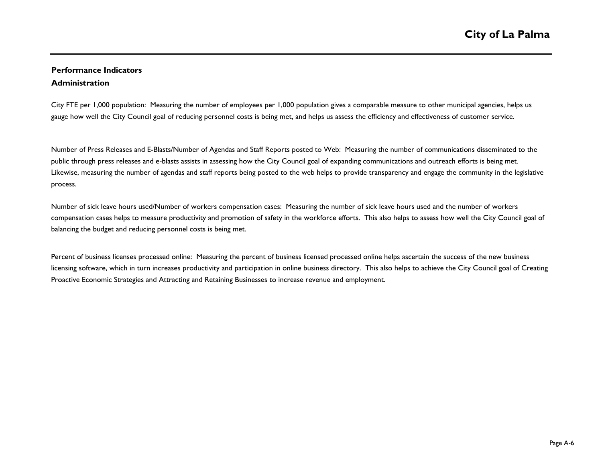# **Performance Indicators Administration**

City FTE per 1,000 population: Measuring the number of employees per 1,000 population gives a comparable measure to other municipal agencies, helps us gauge how well the City Council goal of reducing personnel costs is being met, and helps us assess the efficiency and effectiveness of customer service.

Number of Press Releases and E-Blasts/Number of Agendas and Staff Reports posted to Web: Measuring the number of communications disseminated to the public through press releases and e-blasts assists in assessing how the City Council goal of expanding communications and outreach efforts is being met. Likewise, measuring the number of agendas and staff reports being posted to the web helps to provide transparency and engage the community in the legislative process.

Number of sick leave hours used/Number of workers compensation cases: Measuring the number of sick leave hours used and the number of workers compensation cases helps to measure productivity and promotion of safety in the workforce efforts. This also helps to assess how well the City Council goal of balancing the budget and reducing personnel costs is being met.

Percent of business licenses processed online: Measuring the percent of business licensed processed online helps ascertain the success of the new business licensing software, which in turn increases productivity and participation in online business directory. This also helps to achieve the City Council goal of Creating Proactive Economic Strategies and Attracting and Retaining Businesses to increase revenue and employment.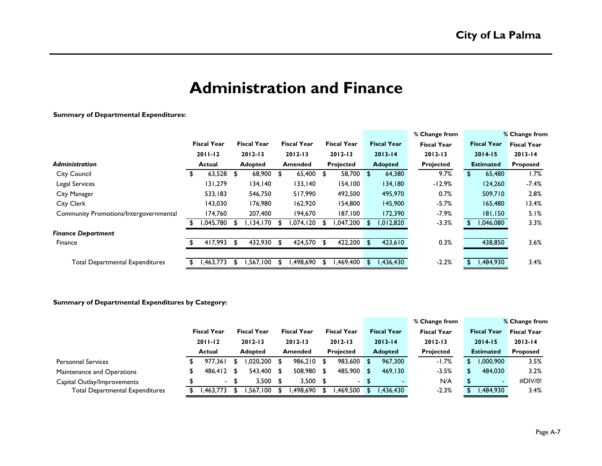# **Administration and Finance**

#### **Summary of Departmental Expenditures:**

|                                               |    |                    |      |                    |     |                    |     |                    |     |                    | % Change from      |     |                    | % Change from      |
|-----------------------------------------------|----|--------------------|------|--------------------|-----|--------------------|-----|--------------------|-----|--------------------|--------------------|-----|--------------------|--------------------|
|                                               |    | <b>Fiscal Year</b> |      | <b>Fiscal Year</b> |     | <b>Fiscal Year</b> |     | <b>Fiscal Year</b> |     | <b>Fiscal Year</b> | <b>Fiscal Year</b> |     | <b>Fiscal Year</b> | <b>Fiscal Year</b> |
|                                               |    | $2011 - 12$        |      | $2012 - 13$        |     | $2012 - 13$        |     | $2012 - 13$        |     | $2013 - 14$        | $2012 - 13$        |     | $2014 - 15$        | $2013 - 14$        |
| <b>Administration</b>                         |    | Actual             |      | <b>Adopted</b>     |     | <b>Amended</b>     |     | Projected          |     | <b>Adopted</b>     | <b>Projected</b>   |     | <b>Estimated</b>   | <b>Proposed</b>    |
| <b>City Council</b>                           | æ. | 63,528             | - \$ | 68,900             | -SI | 65,400             | \$  | 58,700 \$          |     | 64,380             | 9.7%               | \$. | 65,480             | 1.7%               |
| <b>Legal Services</b>                         |    | 131,279            |      | 134,140            |     | 133,140            |     | 154,100            |     | 134,180            | $-12.9%$           |     | 124,260            | $-7.4%$            |
| City Manager                                  |    | 533,183            |      | 546,750            |     | 517,990            |     | 492,500            |     | 495,970            | 0.7%               |     | 509,710            | 2.8%               |
| <b>City Clerk</b>                             |    | 143,030            |      | 176,980            |     | 162,920            |     | 154,800            |     | 145,900            | $-5.7%$            |     | 165,480            | 13.4%              |
| <b>Community Promotions/Intergovernmental</b> |    | 174,760            |      | 207,400            |     | 194,670            |     | 187,100            |     | 172,390            | $-7.9%$            |     | 181,150            | 5.1%               |
|                                               |    | ,045,780           |      | 134,170,           |     | 1,074,120          | -SI | ,047,200           | \$. | 1,012,820          | $-3.3%$            |     | 1,046,080          | 3.3%               |
| <b>Finance Department</b>                     |    |                    |      |                    |     |                    |     |                    |     |                    |                    |     |                    |                    |
| Finance                                       |    | 417,993            | - \$ | 432,930            | \$  | 424,570            | \$  | 422,200            | \$  | 423,610            | 0.3%               |     | 438,850            | 3.6%               |
|                                               |    |                    |      |                    |     |                    |     |                    |     |                    |                    |     |                    |                    |
| <b>Total Departmental Expenditures</b>        |    | ,463,773           |      | .567.100           |     | 1,498,690          |     | 469,400,           | \$  | 1,436,430          | $-2.2%$            |     | 1,484,930          | 3.4%               |

#### **Summary of Departmental Expenditures by Category:**

|                                        |                    |                    |    |                    |                    |                    | % Change from      |     |                    | % Change from      |
|----------------------------------------|--------------------|--------------------|----|--------------------|--------------------|--------------------|--------------------|-----|--------------------|--------------------|
|                                        | <b>Fiscal Year</b> | <b>Fiscal Year</b> |    | <b>Fiscal Year</b> | <b>Fiscal Year</b> | <b>Fiscal Year</b> | <b>Fiscal Year</b> |     | <b>Fiscal Year</b> | <b>Fiscal Year</b> |
|                                        | $2011 - 12$        | $2012 - 13$        |    | $2012 - 13$        | $2012 - 13$        | $2013 - 14$        | $2012 - 13$        |     | $2014 - 15$        | $2013 - 14$        |
|                                        | <b>Actual</b>      | <b>Adopted</b>     |    | <b>Amended</b>     | <b>Projected</b>   | <b>Adopted</b>     | <b>Projected</b>   |     | <b>Estimated</b>   | <b>Proposed</b>    |
| <b>Personnel Services</b>              | 977.361            | 1.020.200          |    | 986.210 \$         | 983,600 \$         | 967,300            | $-1.7%$            | \$. | .000,900 ا         | 3.5%               |
| Maintenance and Operations             | 486.412            | 543,400            | £. | 508,980 \$         | 485,900 \$         | 469.130            | $-3.5%$            |     | 484,030            | 3.2%               |
| Capital Outlay/Improvements            |                    | 3.500              |    | $3,500$ \$         | $\sim$             |                    | N/A                |     |                    | $\#$ DIV/0!        |
| <b>Total Departmental Expenditures</b> | .463.773           | .567.100           |    | l.498.690          | .469.500 S         | .436.430           | $-2.3%$            |     | ,484,930           | 3.4%               |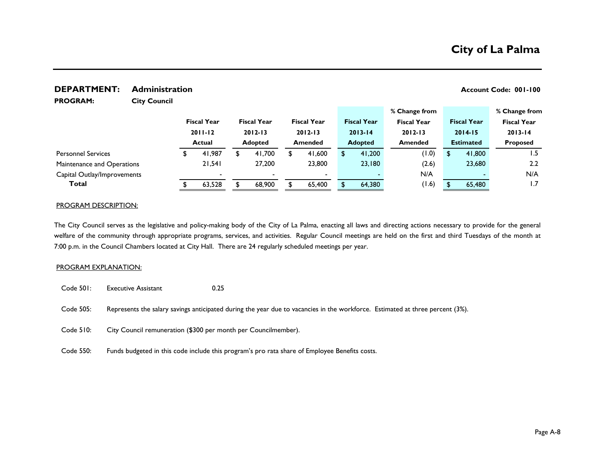**% Change from % Change from**

#### **DEPARTMENT:** Administration **Account Code: 001-100 Account Code: 001-100**

**PROGRAM:** 

**City Council**

|                             |  | <b>Fiscal Year</b>       |  |                          |                          |                |                | <b>Fiscal Year</b> | <b>Fiscal Year</b> | <b>Fiscal Year</b> | <b>Fiscal Year</b> |  | <b>Fiscal Year</b> |             | <b>Fiscal Year</b> |
|-----------------------------|--|--------------------------|--|--------------------------|--------------------------|----------------|----------------|--------------------|--------------------|--------------------|--------------------|--|--------------------|-------------|--------------------|
|                             |  | $2011 - 12$              |  |                          |                          |                |                | $2012 - 13$        | $2012 - 13$        | $2013 - 14$        | $2012 - 13$        |  |                    | $2014 - 15$ | $2013 - 14$        |
|                             |  | Actual                   |  | <b>Adopted</b>           | <b>Amended</b>           | <b>Adopted</b> | <b>Amended</b> |                    | <b>Estimated</b>   |                    | <b>Proposed</b>    |  |                    |             |                    |
| <b>Personnel Services</b>   |  | 41,987                   |  | 41,700                   | 41,600                   | 41,200         |                | (0.1)              |                    | 41,800             | 1.5                |  |                    |             |                    |
| Maintenance and Operations  |  | 21.541                   |  | 27.200                   | 23,800                   | 23.180         |                | (2.6)              |                    | 23,680             | 2.2                |  |                    |             |                    |
| Capital Outlay/Improvements |  | $\overline{\phantom{0}}$ |  | $\overline{\phantom{0}}$ | $\overline{\phantom{0}}$ |                |                | N/A                |                    |                    | N/A                |  |                    |             |                    |
| Total                       |  | 63.528                   |  | 68,900                   | 65,400                   | 64,380         |                | (1.6)              |                    | 65,480             | 1.7                |  |                    |             |                    |
|                             |  |                          |  |                          |                          |                |                |                    |                    |                    |                    |  |                    |             |                    |

#### PROGRAM DESCRIPTION:

The City Council serves as the legislative and policy-making body of the City of La Palma, enacting all laws and directing actions necessary to provide for the general welfare of the community through appropriate programs, services, and activities. Regular Council meetings are held on the first and third Tuesdays of the month at 7:00 p.m. in the Council Chambers located at City Hall. There are 24 regularly scheduled meetings per year.

#### PROGRAM EXPLANATION:

- Code 501: Executive Assistant 0.25
- Code 505: Represents the salary savings anticipated during the year due to vacancies in the workforce. Estimated at three percent (3%).
- Code 510: City Council remuneration (\$300 per month per Councilmember).
- Code 550: Funds budgeted in this code include this program's pro rata share of Employee Benefits costs.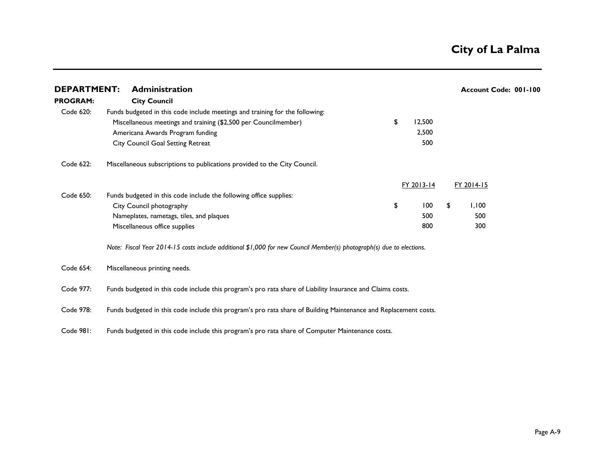| <b>DEPARTMENT:</b> | <b>Administration</b>                                                                                                |              | Account Code: 001-100 |  |
|--------------------|----------------------------------------------------------------------------------------------------------------------|--------------|-----------------------|--|
| <b>PROGRAM:</b>    | <b>City Council</b>                                                                                                  |              |                       |  |
| Code 620:          | Funds budgeted in this code include meetings and training for the following:                                         |              |                       |  |
|                    | Miscellaneous meetings and training (\$2,500 per Councilmember)                                                      | \$<br>12,500 |                       |  |
|                    | Americana Awards Program funding                                                                                     | 2,500        |                       |  |
|                    | City Council Goal Setting Retreat                                                                                    | 500          |                       |  |
| Code 622:          | Miscellaneous subscriptions to publications provided to the City Council.                                            |              |                       |  |
|                    |                                                                                                                      | FY 2013-14   | FY 2014-15            |  |
| Code 650:          | Funds budgeted in this code include the following office supplies:                                                   |              |                       |  |
|                    | City Council photography                                                                                             | \$<br>100    | \$<br>1,100           |  |
|                    | Nameplates, nametags, tiles, and plaques                                                                             | 500          | 500                   |  |
|                    | Miscellaneous office supplies                                                                                        | 800          | 300                   |  |
|                    | Note: Fiscal Year 2014-15 costs include additional \$1,000 for new Council Member(s) photograph(s) due to elections. |              |                       |  |
| Code 654:          | Miscellaneous printing needs.                                                                                        |              |                       |  |
| Code 977:          | Funds budgeted in this code include this program's pro rata share of Liability Insurance and Claims costs.           |              |                       |  |
| Code 978:          | Funds budgeted in this code include this program's pro rata share of Building Maintenance and Replacement costs.     |              |                       |  |

Code 981: Funds budgeted in this code include this program's pro rata share of Computer Maintenance costs.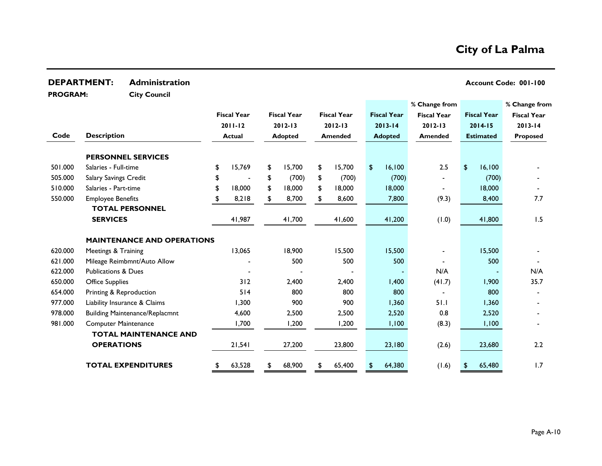|                 | <b>DEPARTMENT:</b>             | <b>Administration</b>                 |                    |                    |                    |                    |                    |                    | Account Code: 001-100 |
|-----------------|--------------------------------|---------------------------------------|--------------------|--------------------|--------------------|--------------------|--------------------|--------------------|-----------------------|
| <b>PROGRAM:</b> |                                | <b>City Council</b>                   |                    |                    |                    |                    |                    |                    |                       |
|                 |                                |                                       |                    |                    |                    |                    | % Change from      |                    | % Change from         |
|                 |                                |                                       | <b>Fiscal Year</b> | <b>Fiscal Year</b> | <b>Fiscal Year</b> | <b>Fiscal Year</b> | <b>Fiscal Year</b> | <b>Fiscal Year</b> | <b>Fiscal Year</b>    |
|                 |                                |                                       | $2011 - 12$        | $2012 - 13$        | $2012 - 13$        | $2013 - 14$        | $2012 - 13$        | $2014 - 15$        | $2013 - 14$           |
| Code            | <b>Description</b>             |                                       | <b>Actual</b>      | <b>Adopted</b>     | Amended            | <b>Adopted</b>     | Amended            | <b>Estimated</b>   | <b>Proposed</b>       |
|                 |                                | <b>PERSONNEL SERVICES</b>             |                    |                    |                    |                    |                    |                    |                       |
| 501.000         | Salaries - Full-time           |                                       | \$<br>15,769       | \$<br>15,700       | \$<br>15,700       | \$<br>16,100       | 2.5                | \$<br>16,100       |                       |
| 505.000         | Salary Savings Credit          |                                       |                    | \$<br>(700)        | \$<br>(700)        | (700)              |                    | (700)              |                       |
| 510.000         | Salaries - Part-time           |                                       | 18,000             | \$<br>18,000       | \$<br>18,000       | 18,000             |                    | 18,000             |                       |
| 550.000         | <b>Employee Benefits</b>       |                                       | 8,218              | \$<br>8,700        | \$<br>8,600        | 7,800              | (9.3)              | 8,400              | 7.7                   |
|                 |                                | <b>TOTAL PERSONNEL</b>                |                    |                    |                    |                    |                    |                    |                       |
|                 | <b>SERVICES</b>                |                                       | 41,987             | 41,700             | 41,600             | 41,200             | (1.0)              | 41,800             | 1.5                   |
|                 |                                | <b>MAINTENANCE AND OPERATIONS</b>     |                    |                    |                    |                    |                    |                    |                       |
| 620.000         | Meetings & Training            |                                       | 13,065             | 18,900             | 15,500             | 15,500             |                    | 15,500             |                       |
| 621.000         |                                | Mileage Reimbmnt/Auto Allow           |                    | 500                | 500                | 500                |                    | 500                |                       |
| 622.000         | <b>Publications &amp; Dues</b> |                                       |                    |                    |                    |                    | N/A                |                    | N/A                   |
| 650.000         | <b>Office Supplies</b>         |                                       | 312                | 2,400              | 2,400              | 1,400              | (41.7)             | 1,900              | 35.7                  |
| 654.000         | Printing & Reproduction        |                                       | 514                | 800                | 800                | 800                |                    | 800                |                       |
| 977.000         |                                | Liability Insurance & Claims          | 1,300              | 900                | 900                | 1,360              | 51.1               | 1,360              |                       |
| 978.000         |                                | <b>Building Maintenance/Replacmnt</b> | 4,600              | 2,500              | 2,500              | 2,520              | 0.8                | 2,520              |                       |
| 981.000         | <b>Computer Maintenance</b>    |                                       | 1,700              | 1,200              | 1,200              | 1,100              | (8.3)              | 1,100              |                       |
|                 |                                | <b>TOTAL MAINTENANCE AND</b>          |                    |                    |                    |                    |                    |                    |                       |
|                 | <b>OPERATIONS</b>              |                                       | 21,541             | 27,200             | 23,800             | 23,180             | (2.6)              | 23,680             | 2.2                   |
|                 |                                | <b>TOTAL EXPENDITURES</b>             | \$<br>63,528       | \$<br>68,900       | \$<br>65,400       | \$<br>64,380       | (1.6)              | 65,480<br>S        | 1.7                   |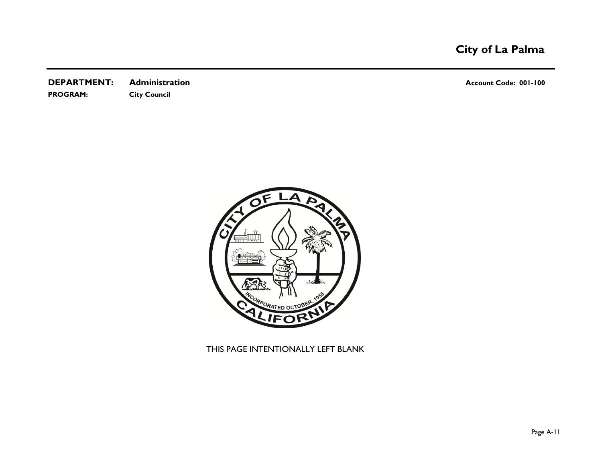**DEPARTMENT:** Administration **Account Code: 001-100 PROGRAM: City Council**



THIS PAGE INTENTIONALLY LEFT BLANK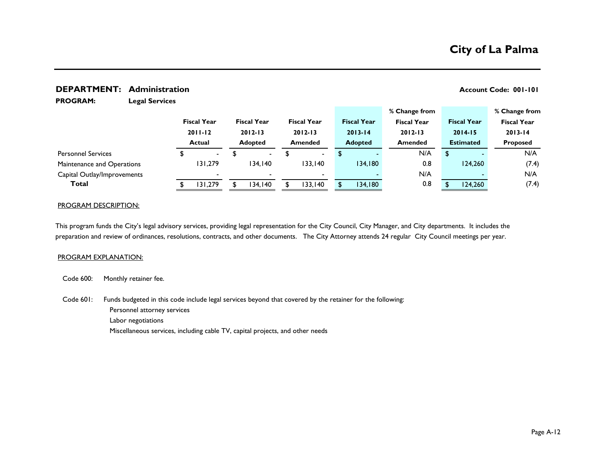#### **DEPARTMENT:** Administration **Account Code: 001-101**

**% Change from % Change from**

**PROGRAM:** 

**Legal Services**

|                             |                          |                    |                    |                    | $\sim$ - $\sim$ $\sim$ $\sim$ $\sim$ $\sim$ $\sim$ $\sim$ |     |     |                    | ,, <del>.</del> ,,,,, ., ., .,,, |
|-----------------------------|--------------------------|--------------------|--------------------|--------------------|-----------------------------------------------------------|-----|-----|--------------------|----------------------------------|
|                             | <b>Fiscal Year</b>       | <b>Fiscal Year</b> | <b>Fiscal Year</b> | <b>Fiscal Year</b> | <b>Fiscal Year</b>                                        |     |     | <b>Fiscal Year</b> | <b>Fiscal Year</b>               |
|                             | $2011 - 12$              | $2012 - 13$        | $2012 - 13$        | $2013 - 14$        | $2012 - 13$                                               |     |     | $2014 - 15$        | $2013 - 14$                      |
|                             | Actual                   | <b>Adopted</b>     | <b>Amended</b>     | <b>Adopted</b>     | <b>Amended</b>                                            |     |     | <b>Estimated</b>   | <b>Proposed</b>                  |
| <b>Personnel Services</b>   | $\sim$                   | $\sim$             | $\blacksquare$     |                    |                                                           | N/A | \$. |                    | N/A                              |
| Maintenance and Operations  | 131,279                  | 134.140            | 133,140            | 134,180            |                                                           | 0.8 |     | 124.260            | (7.4)                            |
| Capital Outlay/Improvements | $\overline{\phantom{0}}$ |                    |                    |                    |                                                           | N/A |     |                    | N/A                              |
| Total                       | 131.279                  | 134.140            | 133.140            | 134,180            |                                                           | 0.8 |     | 124,260            | (7.4)                            |
|                             |                          |                    |                    |                    |                                                           |     |     |                    |                                  |

#### PROGRAM DESCRIPTION:

This program funds the City's legal advisory services, providing legal representation for the City Council, City Manager, and City departments. It includes the preparation and review of ordinances, resolutions, contracts, and other documents. The City Attorney attends 24 regular City Council meetings per year.

#### PROGRAM EXPLANATION:

Code 600: Monthly retainer fee.

Code 601: Personnel attorney services Labor negotiations Miscellaneous services, including cable TV, capital projects, and other needs Funds budgeted in this code include legal services beyond that covered by the retainer for the following: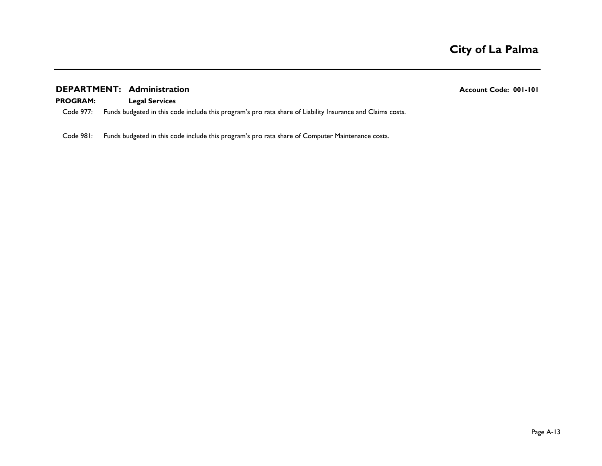### **DEPARTMENT:** Administration **Account Code: 001-101**

#### **PROGRAM: Legal Services**

Code 977: Funds budgeted in this code include this program's pro rata share of Liability Insurance and Claims costs.

Code 981: Funds budgeted in this code include this program's pro rata share of Computer Maintenance costs.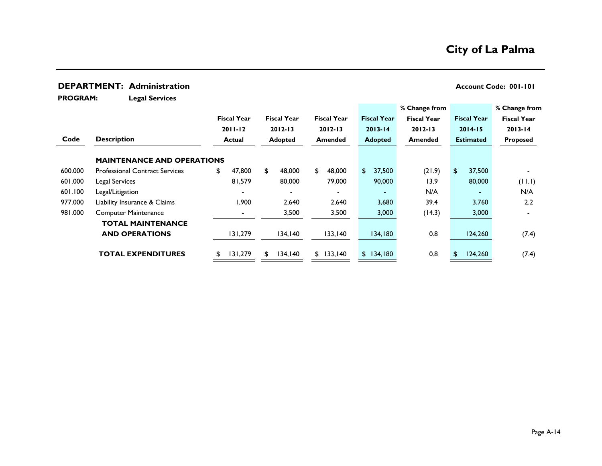# **DEPARTMENT:** Administration **Account Code: 001-101**

**PROGRAM:** 

**Legal Services**

|         |                                       |                    |                    |                          |     |                    | % Change from      |        |                    | % Change from      |
|---------|---------------------------------------|--------------------|--------------------|--------------------------|-----|--------------------|--------------------|--------|--------------------|--------------------|
|         |                                       | <b>Fiscal Year</b> | <b>Fiscal Year</b> | <b>Fiscal Year</b>       |     | <b>Fiscal Year</b> | <b>Fiscal Year</b> |        | <b>Fiscal Year</b> | <b>Fiscal Year</b> |
|         |                                       | $2011 - 12$        | $2012 - 13$        | $2012 - 13$              |     | $2013 - 14$        | $2012 - 13$        |        | $2014 - 15$        | $2013 - 14$        |
| Code    | <b>Description</b>                    | Actual             | <b>Adopted</b>     | <b>Amended</b>           |     | <b>Adopted</b>     | <b>Amended</b>     |        | <b>Estimated</b>   | <b>Proposed</b>    |
|         | <b>MAINTENANCE AND OPERATIONS</b>     |                    |                    |                          |     |                    |                    |        |                    |                    |
| 600.000 | <b>Professional Contract Services</b> | \$<br>47,800       | \$<br>48,000       | \$<br>48,000             | \$. | 37,500             |                    | (21.9) | \$<br>37,500       |                    |
| 601.000 | Legal Services                        | 81,579             | 80,000             | 79,000                   |     | 90,000             |                    | 13.9   | 80,000             | (11.1)             |
| 601.100 | Legal/Litigation                      |                    | $\blacksquare$     | $\overline{\phantom{0}}$ |     |                    |                    | N/A    | $\blacksquare$     | N/A                |
| 977.000 | Liability Insurance & Claims          | 900.١              | 2.640              | 2,640                    |     | 3,680              |                    | 39.4   | 3.760              | 2.2                |
| 981.000 | <b>Computer Maintenance</b>           |                    | 3,500              | 3,500                    |     | 3,000              |                    | (14.3) | 3,000              |                    |
|         | <b>TOTAL MAINTENANCE</b>              |                    |                    |                          |     |                    |                    |        |                    |                    |
|         | <b>AND OPERATIONS</b>                 | 131,279            | 134,140            | 133,140                  |     | 134,180            |                    | 0.8    | 124,260            | (7.4)              |
|         | <b>TOTAL EXPENDITURES</b>             | 131,279            | \$<br>134, 140     | \$133,140                |     | \$134,180          |                    | 0.8    | \$<br>124,260      | (7.4)              |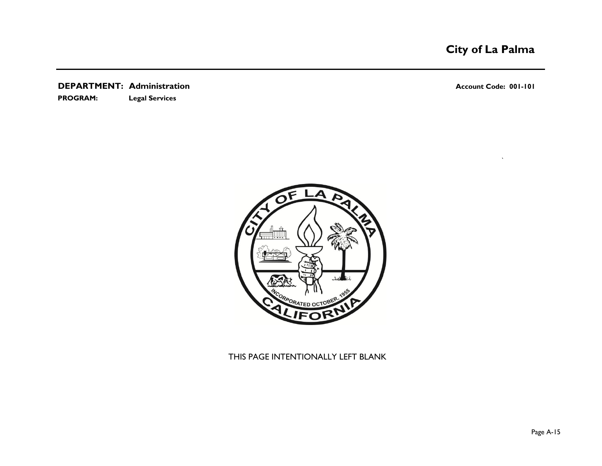**DEPARTMENT:** Administration **Account Code: 001-101 PROGRAM: Legal Services**

`



## THIS PAGE INTENTIONALLY LEFT BLANK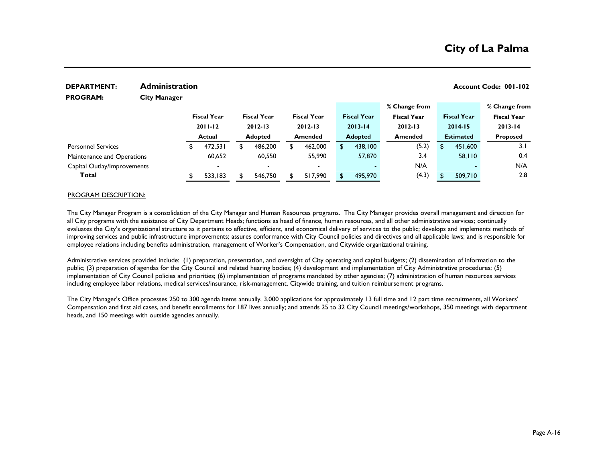| <b>DEPARTMENT:</b>          | <b>Administration</b> |    |                          |   |                    |                    |     |                    |                    |       |                    | Account Code: 001-102 |
|-----------------------------|-----------------------|----|--------------------------|---|--------------------|--------------------|-----|--------------------|--------------------|-------|--------------------|-----------------------|
| <b>PROGRAM:</b>             | <b>City Manager</b>   |    |                          |   |                    |                    |     |                    |                    |       |                    |                       |
|                             |                       |    |                          |   |                    |                    |     |                    | % Change from      |       |                    | % Change from         |
|                             |                       |    | <b>Fiscal Year</b>       |   | <b>Fiscal Year</b> | <b>Fiscal Year</b> |     | <b>Fiscal Year</b> | <b>Fiscal Year</b> |       | <b>Fiscal Year</b> | <b>Fiscal Year</b>    |
|                             |                       |    | $2011 - 12$              |   | $2012 - 13$        | $2012 - 13$        |     | $2013 - 14$        | $2012 - 13$        |       | $2014 - 15$        | $2013 - 14$           |
|                             |                       |    | <b>Actual</b>            |   | <b>Adopted</b>     | <b>Amended</b>     |     | <b>Adopted</b>     | <b>Amended</b>     |       | <b>Estimated</b>   | <b>Proposed</b>       |
| <b>Personnel Services</b>   |                       | Ŧ. | 472,531                  | £ | 486,200            | \$<br>462,000      | \$. | 438,100            |                    | (5.2) | \$<br>451,600      | 3.1                   |
| Maintenance and Operations  |                       |    | 60,652                   |   | 60,550             | 55,990             |     | 57,870             |                    | 3.4   | 58,110             | 0.4                   |
| Capital Outlay/Improvements |                       |    | $\overline{\phantom{0}}$ |   |                    |                    |     |                    |                    | N/A   |                    | N/A                   |
| Total                       |                       |    | 533,183                  |   | 546,750            | 517,990            |     | 495,970            |                    | (4.3) | 509,710            | 2.8                   |

#### PROGRAM DESCRIPTION:

The City Manager Program is a consolidation of the City Manager and Human Resources programs. The City Manager provides overall management and direction for all City programs with the assistance of City Department Heads; functions as head of finance, human resources, and all other administrative services; continually evaluates the City's organizational structure as it pertains to effective, efficient, and economical delivery of services to the public; develops and implements methods of improving services and public infrastructure improvements; assures conformance with City Council policies and directives and all applicable laws; and is responsible for employee relations including benefits administration, management of Worker's Compensation, and Citywide organizational training.

Administrative services provided include: (1) preparation, presentation, and oversight of City operating and capital budgets; (2) dissemination of information to the public; (3) preparation of agendas for the City Council and related hearing bodies; (4) development and implementation of City Administrative procedures; (5) implementation of City Council policies and priorities; (6) implementation of programs mandated by other agencies; (7) administration of human resources services including employee labor relations, medical services/insurance, risk-management, Citywide training, and tuition reimbursement programs.

The City Manager's Office processes 250 to 300 agenda items annually, 3,000 applications for approximately 13 full time and 12 part time recruitments, all Workers' Compensation and first aid cases, and benefit enrollments for 187 lives annually; and attends 25 to 32 City Council meetings/workshops, 350 meetings with department heads, and 150 meetings with outside agencies annually.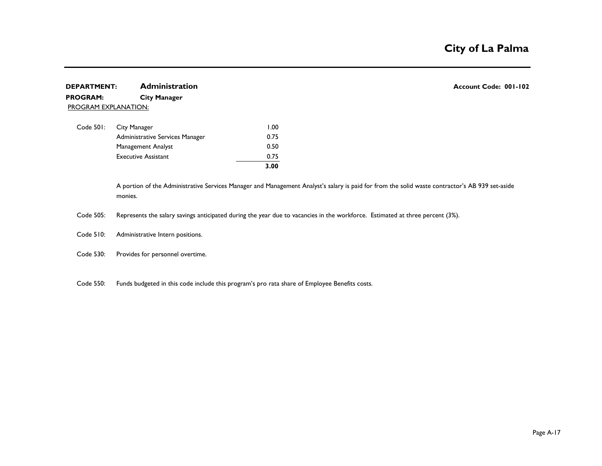### **DEPARTMENT:** Administration **Account Code: 001-102 PROGRAM: City Manager** PROGRAM EXPLANATION:

|                                 | 3.00 |
|---------------------------------|------|
| <b>Executive Assistant</b>      | 0.75 |
| Management Analyst              | 0.50 |
| Administrative Services Manager | 0.75 |
| Code 501: City Manager          | 1.00 |

A portion of the Administrative Services Manager and Management Analyst's salary is paid for from the solid waste contractor's AB 939 set-aside monies.

Code 505: Represents the salary savings anticipated during the year due to vacancies in the workforce. Estimated at three percent (3%).

Code 510: Administrative Intern positions.

Code 530: Provides for personnel overtime.

Code 550: Funds budgeted in this code include this program's pro rata share of Employee Benefits costs.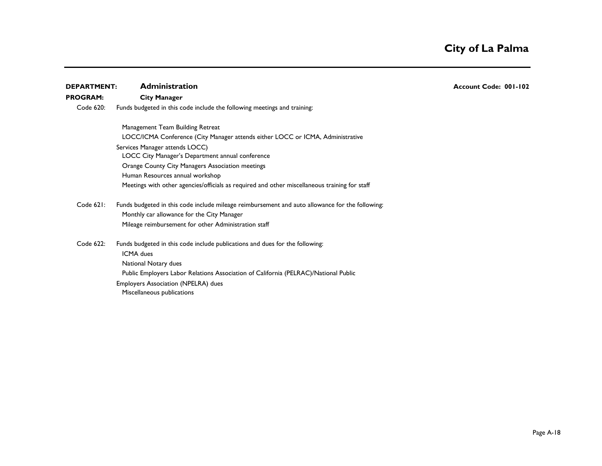| <b>DEPARTMENT:</b> | <b>Administration</b>                                                                           | Account Code: 001-102 |
|--------------------|-------------------------------------------------------------------------------------------------|-----------------------|
| <b>PROGRAM:</b>    | <b>City Manager</b>                                                                             |                       |
| Code 620:          | Funds budgeted in this code include the following meetings and training:                        |                       |
|                    | Management Team Building Retreat                                                                |                       |
|                    | LOCC/ICMA Conference (City Manager attends either LOCC or ICMA, Administrative                  |                       |
|                    | Services Manager attends LOCC)                                                                  |                       |
|                    | LOCC City Manager's Department annual conference                                                |                       |
|                    | Orange County City Managers Association meetings                                                |                       |
|                    | Human Resources annual workshop                                                                 |                       |
|                    | Meetings with other agencies/officials as required and other miscellaneous training for staff   |                       |
| Code 621:          | Funds budgeted in this code include mileage reimbursement and auto allowance for the following: |                       |
|                    | Monthly car allowance for the City Manager                                                      |                       |
|                    | Mileage reimbursement for other Administration staff                                            |                       |
| Code 622:          | Funds budgeted in this code include publications and dues for the following:<br>ICMA dues       |                       |
|                    | National Notary dues                                                                            |                       |
|                    | Public Employers Labor Relations Association of California (PELRAC)/National Public             |                       |
|                    | Employers Association (NPELRA) dues                                                             |                       |
|                    | Miscellaneous publications                                                                      |                       |
|                    |                                                                                                 |                       |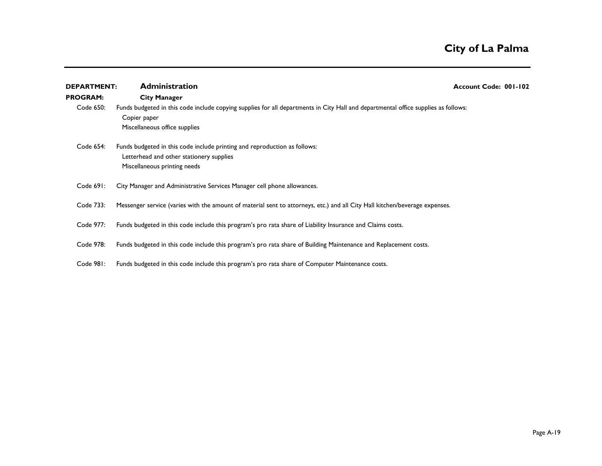| <b>DEPARTMENT:</b> | <b>Administration</b>                                                                                                                                                               | Account Code: 001-102 |
|--------------------|-------------------------------------------------------------------------------------------------------------------------------------------------------------------------------------|-----------------------|
| <b>PROGRAM:</b>    | <b>City Manager</b>                                                                                                                                                                 |                       |
| Code 650:          | Funds budgeted in this code include copying supplies for all departments in City Hall and departmental office supplies as follows:<br>Copier paper<br>Miscellaneous office supplies |                       |
| Code 654:          | Funds budgeted in this code include printing and reproduction as follows:<br>Letterhead and other stationery supplies<br>Miscellaneous printing needs                               |                       |
| Code 691:          | City Manager and Administrative Services Manager cell phone allowances.                                                                                                             |                       |
| Code 733:          | Messenger service (varies with the amount of material sent to attorneys, etc.) and all City Hall kitchen/beverage expenses.                                                         |                       |
| Code 977:          | Funds budgeted in this code include this program's pro rata share of Liability Insurance and Claims costs.                                                                          |                       |
| Code 978:          | Funds budgeted in this code include this program's pro rata share of Building Maintenance and Replacement costs.                                                                    |                       |
| Code 981:          | Funds budgeted in this code include this program's pro rata share of Computer Maintenance costs.                                                                                    |                       |
|                    |                                                                                                                                                                                     |                       |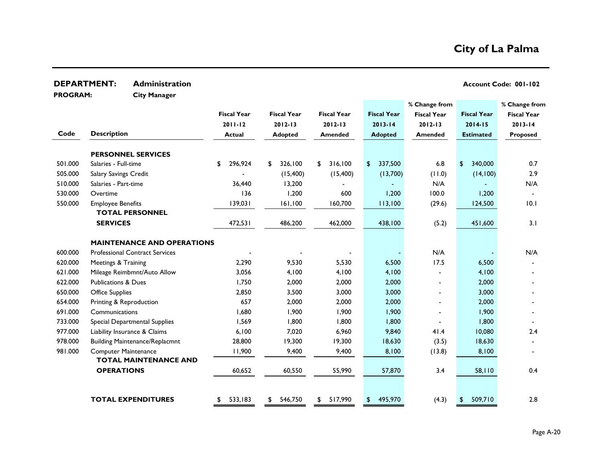| <b>DEPARTMENT:</b><br><b>Administration</b> |                                |                                       |                    |                    |                    |                           |                    |                    | Account Code: 001-102 |
|---------------------------------------------|--------------------------------|---------------------------------------|--------------------|--------------------|--------------------|---------------------------|--------------------|--------------------|-----------------------|
| <b>PROGRAM:</b>                             |                                | <b>City Manager</b>                   |                    |                    |                    |                           |                    |                    |                       |
|                                             |                                |                                       |                    |                    |                    |                           | % Change from      |                    | % Change from         |
|                                             |                                |                                       | <b>Fiscal Year</b> | <b>Fiscal Year</b> | <b>Fiscal Year</b> | <b>Fiscal Year</b>        | <b>Fiscal Year</b> | <b>Fiscal Year</b> | <b>Fiscal Year</b>    |
|                                             |                                |                                       | $2011 - 12$        | $2012 - 13$        | $2012 - 13$        | $2013 - 14$               | $2012 - 13$        | $2014 - 15$        | $2013 - 14$           |
| Code                                        | <b>Description</b>             |                                       | <b>Actual</b>      | <b>Adopted</b>     | <b>Amended</b>     | <b>Adopted</b>            | <b>Amended</b>     | <b>Estimated</b>   | Proposed              |
|                                             |                                | <b>PERSONNEL SERVICES</b>             |                    |                    |                    |                           |                    |                    |                       |
| 501.000                                     | Salaries - Full-time           |                                       | 296,924<br>\$      | 326,100<br>\$      | 316,100<br>\$      | 337,500<br>$\mathfrak{D}$ | 6.8                | 340,000<br>\$      | 0.7                   |
| 505.000                                     | Salary Savings Credit          |                                       |                    | (15,400)           | (15,400)           | (13,700)                  | (0.11)             | (14, 100)          | 2.9                   |
| 510.000                                     | Salaries - Part-time           |                                       | 36,440             | 13,200             |                    |                           | N/A                |                    | N/A                   |
| 530.000                                     | Overtime                       |                                       | 136                | 1,200              | 600                | 1,200                     | 100.0              | 1,200              |                       |
| 550.000                                     | <b>Employee Benefits</b>       |                                       | 139,031            | 161,100            | 160,700            | 113,100                   | (29.6)             | 124,500            | 10.1                  |
|                                             |                                | <b>TOTAL PERSONNEL</b>                |                    |                    |                    |                           |                    |                    |                       |
|                                             | <b>SERVICES</b>                |                                       | 472,531            | 486,200            | 462,000            | 438,100                   | (5.2)              | 451,600            | 3.1                   |
|                                             |                                | <b>MAINTENANCE AND OPERATIONS</b>     |                    |                    |                    |                           |                    |                    |                       |
| 600.000                                     |                                | <b>Professional Contract Services</b> |                    |                    |                    |                           | N/A                |                    | N/A                   |
| 620.000                                     | Meetings & Training            |                                       | 2,290              | 9,530              | 5,530              | 6,500                     | 17.5               | 6,500              |                       |
| 621.000                                     |                                | Mileage Reimbmnt/Auto Allow           | 3,056              | 4,100              | 4,100              | 4,100                     |                    | 4,100              |                       |
| 622.000                                     | <b>Publications &amp; Dues</b> |                                       | 1,750              | 2,000              | 2,000              | 2,000                     |                    | 2,000              |                       |
| 650.000                                     | <b>Office Supplies</b>         |                                       | 2,850              | 3,500              | 3,000              | 3,000                     |                    | 3,000              |                       |
| 654.000                                     | Printing & Reproduction        |                                       | 657                | 2,000              | 2,000              | 2,000                     |                    | 2,000              |                       |
| 691.000                                     | Communications                 |                                       | 1,680              | 1,900              | 1,900              | 1,900                     |                    | 1,900              |                       |
| 733.000                                     |                                | Special Departmental Supplies         | 1,569              | 1,800              | 1,800              | 1,800                     |                    | 1,800              |                       |
| 977.000                                     |                                | Liability Insurance & Claims          | 6,100              | 7,020              | 6,960              | 9,840                     | 41.4               | 10,080             | 2.4                   |
| 978.000                                     |                                | <b>Building Maintenance/Replacmnt</b> | 28,800             | 19,300             | 19,300             | 18,630                    | (3.5)              | 18,630             |                       |
| 981.000                                     | <b>Computer Maintenance</b>    | <b>TOTAL MAINTENANCE AND</b>          | 11,900             | 9,400              | 9,400              | 8,100                     | (13.8)             | 8,100              |                       |
|                                             | <b>OPERATIONS</b>              |                                       | 60,652             | 60,550             | 55,990             | 57,870                    | 3.4                | 58,110             | 0.4                   |
|                                             |                                |                                       |                    |                    |                    |                           |                    |                    |                       |
|                                             |                                | <b>TOTAL EXPENDITURES</b>             | 533,183<br>\$      | 546,750<br>\$      | 517,990<br>\$      | 495,970<br>\$             | (4.3)              | 509,710<br>\$      | 2.8                   |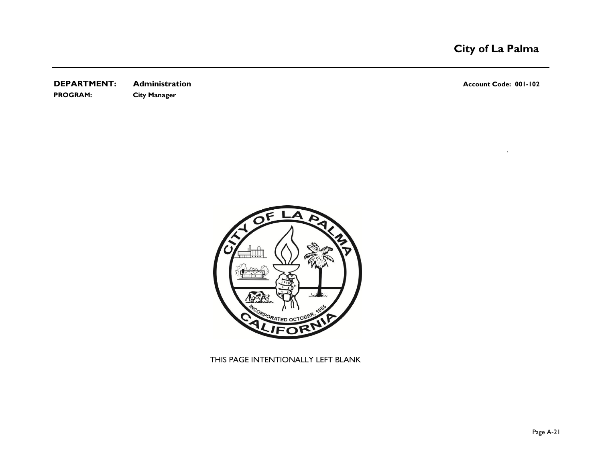**DEPARTMENT:** Administration **Account Code: 001-102 PROGRAM: City Manager**

`



THIS PAGE INTENTIONALLY LEFT BLANK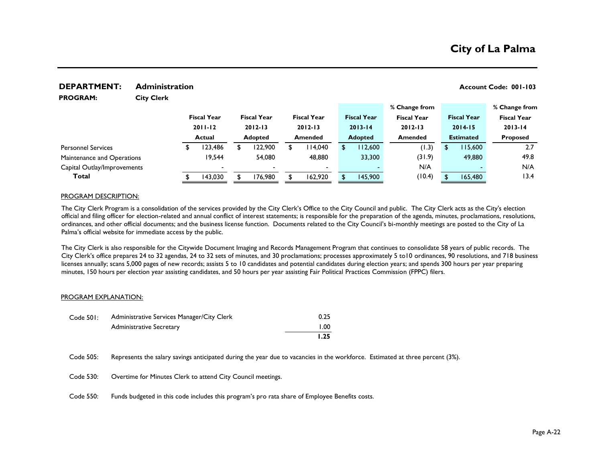#### **DEPARTMENT:** Administration **Account Code: 001-103**

**PROGRAM:** 

**City Clerk**

|                             |                    |                          |                          |                    | % Change from      |                    | % Change from      |
|-----------------------------|--------------------|--------------------------|--------------------------|--------------------|--------------------|--------------------|--------------------|
|                             | <b>Fiscal Year</b> | <b>Fiscal Year</b>       | <b>Fiscal Year</b>       | <b>Fiscal Year</b> | <b>Fiscal Year</b> | <b>Fiscal Year</b> | <b>Fiscal Year</b> |
|                             | $2011 - 12$        | $2012 - 13$              | $2012 - 13$              | $2013 - 14$        | $2012 - 13$        | $2014 - 15$        | $2013 - 14$        |
|                             | <b>Actual</b>      | <b>Adopted</b>           | <b>Amended</b>           | <b>Adopted</b>     | <b>Amended</b>     | <b>Estimated</b>   | <b>Proposed</b>    |
| <b>Personnel Services</b>   | 23,486             | 122,900                  | 114,040                  | 112,600            | (1.3)              | 115,600            | 2.7                |
| Maintenance and Operations  | 19,544             | 54,080                   | 48,880                   | 33,300             | (31.9)             | 49,880             | 49.8               |
| Capital Outlay/Improvements | $\sim$             | $\overline{\phantom{0}}$ | $\overline{\phantom{0}}$ |                    | N/A                |                    | N/A                |
| Total                       | 143,030            | 176,980                  | 162,920                  | 145,900            | (10.4)             | 165,480            | 13.4               |
|                             |                    |                          |                          |                    |                    |                    |                    |

#### PROGRAM DESCRIPTION:

The City Clerk Program is a consolidation of the services provided by the City Clerk's Office to the City Council and public. The City Clerk acts as the City's election official and filing officer for election-related and annual conflict of interest statements; is responsible for the preparation of the agenda, minutes, proclamations, resolutions, ordinances, and other official documents; and the business license function. Documents related to the City Council's bi-monthly meetings are posted to the City of La Palma's official website for immediate access by the public.

The City Clerk is also responsible for the Citywide Document Imaging and Records Management Program that continues to consolidate 58 years of public records. The City Clerk's office prepares 24 to 32 agendas, 24 to 32 sets of minutes, and 30 proclamations; processes approximately 5 to10 ordinances, 90 resolutions, and 718 business licenses annually; scans 5,000 pages of new records; assists 5 to 10 candidates and potential candidates during election years; and spends 300 hours per year preparing minutes, 150 hours per election year assisting candidates, and 50 hours per year assisting Fair Political Practices Commission (FPPC) filers.

#### PROGRAM EXPLANATION:

| Code 501: | Administrative Services Manager/City Clerk | 0.25 |
|-----------|--------------------------------------------|------|
|           | <b>Administrative Secretary</b>            | 1.00 |
|           |                                            | 1.25 |

Code 505: Represents the salary savings anticipated during the year due to vacancies in the workforce. Estimated at three percent (3%).

- Code 530: Overtime for Minutes Clerk to attend City Council meetings.
- Code 550: Funds budgeted in this code includes this program's pro rata share of Employee Benefits costs.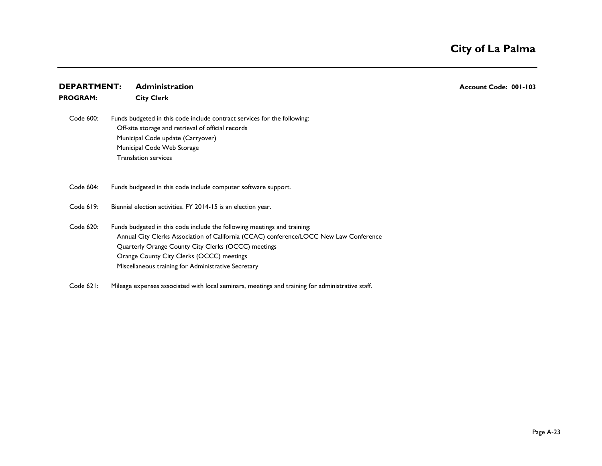### **DEPARTMENT:** Administration **Account Code: 001-103 PROGRAM: City Clerk**

 Code 600: Off-site storage and retrieval of official records Municipal Code update (Carryover) Municipal Code Web Storage Translation services Funds budgeted in this code include contract services for the following:

 Code 604: Funds budgeted in this code include computer software support.

Code 619: Biennial election activities. FY 2014-15 is an election year.

Code 620: Annual City Clerks Association of California (CCAC) conference/LOCC New Law Conference Orange County City Clerks (OCCC) meetings Miscellaneous training for Administrative Secretary Funds budgeted in this code include the following meetings and training: Quarterly Orange County City Clerks (OCCC) meetings

Code 621: Mileage expenses associated with local seminars, meetings and training for administrative staff.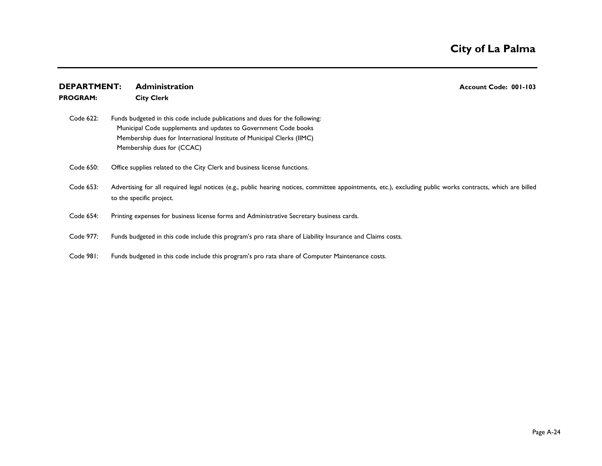| <b>DEPARTMENT:</b> | <b>Administration</b><br>Account Code: 001-103                                                                                                                                                                                                          |
|--------------------|---------------------------------------------------------------------------------------------------------------------------------------------------------------------------------------------------------------------------------------------------------|
| <b>PROGRAM:</b>    | <b>City Clerk</b>                                                                                                                                                                                                                                       |
| Code 622:          | Funds budgeted in this code include publications and dues for the following:<br>Municipal Code supplements and updates to Government Code books<br>Membership dues for International Institute of Municipal Clerks (IIMC)<br>Membership dues for (CCAC) |
| Code 650:          | Office supplies related to the City Clerk and business license functions.                                                                                                                                                                               |
| Code 653:          | Advertising for all required legal notices (e.g., public hearing notices, committee appointments, etc.), excluding public works contracts, which are billed<br>to the specific project.                                                                 |
| Code 654:          | Printing expenses for business license forms and Administrative Secretary business cards.                                                                                                                                                               |
| Code 977:          | Funds budgeted in this code include this program's pro rata share of Liability Insurance and Claims costs.                                                                                                                                              |
|                    |                                                                                                                                                                                                                                                         |

Code 981: Funds budgeted in this code include this program's pro rata share of Computer Maintenance costs.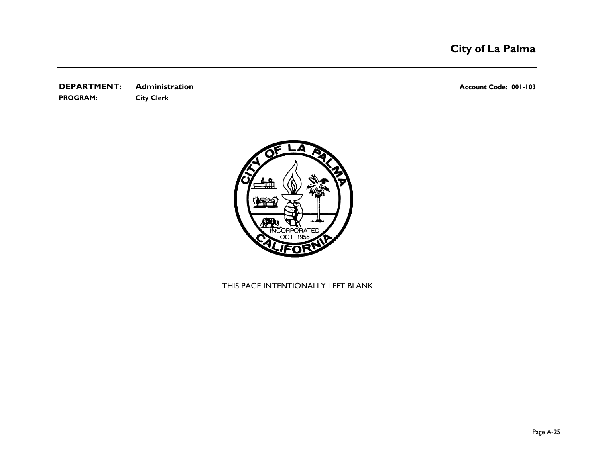**DEPARTMENT:** Administration **Account Code: 001-103 PROGRAM: City Clerk**



THIS PAGE INTENTIONALLY LEFT BLANK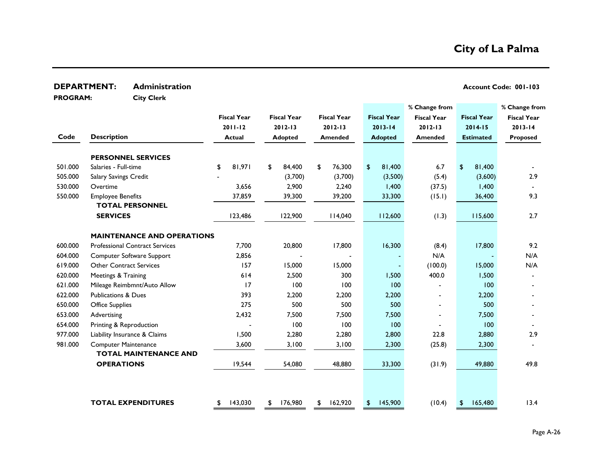| <b>DEPARTMENT:</b> |                                | <b>Administration</b>                 |                    |                    |                    |                |                    |                    |                    | Account Code: 001-103 |
|--------------------|--------------------------------|---------------------------------------|--------------------|--------------------|--------------------|----------------|--------------------|--------------------|--------------------|-----------------------|
| <b>PROGRAM:</b>    |                                | <b>City Clerk</b>                     |                    |                    |                    |                |                    |                    |                    |                       |
|                    |                                |                                       |                    |                    |                    |                |                    | % Change from      |                    | % Change from         |
|                    |                                |                                       | <b>Fiscal Year</b> | <b>Fiscal Year</b> | <b>Fiscal Year</b> |                | <b>Fiscal Year</b> | <b>Fiscal Year</b> | <b>Fiscal Year</b> | <b>Fiscal Year</b>    |
|                    |                                |                                       | $2011 - 12$        | $2012 - 13$        | $2012 - 13$        |                | $2013 - 14$        | $2012 - 13$        | $2014 - 15$        | $2013 - 14$           |
| Code               | <b>Description</b>             |                                       | <b>Actual</b>      | <b>Adopted</b>     | <b>Amended</b>     |                | <b>Adopted</b>     | <b>Amended</b>     | <b>Estimated</b>   | Proposed              |
|                    |                                | <b>PERSONNEL SERVICES</b>             |                    |                    |                    |                |                    |                    |                    |                       |
| 501.000            | Salaries - Full-time           |                                       | \$<br>81,971       | \$<br>84,400       | \$<br>76,300       | $\mathfrak{P}$ | 81,400             | 6.7                | \$<br>81,400       |                       |
| 505.000            | Salary Savings Credit          |                                       |                    | (3,700)            | (3,700)            |                | (3,500)            | (5.4)              | (3,600)            | 2.9                   |
| 530.000            | Overtime                       |                                       | 3,656              | 2,900              | 2,240              |                | 1,400              | (37.5)             | 1,400              |                       |
| 550.000            | <b>Employee Benefits</b>       |                                       | 37,859             | 39,300             | 39,200             |                | 33,300             | (15.1)             | 36,400             | 9.3                   |
|                    |                                | <b>TOTAL PERSONNEL</b>                |                    |                    |                    |                |                    |                    |                    |                       |
|                    | <b>SERVICES</b>                |                                       | 123,486            | 122,900            | 114,040            |                | 112,600            | (1.3)              | 115,600            | 2.7                   |
|                    |                                | <b>MAINTENANCE AND OPERATIONS</b>     |                    |                    |                    |                |                    |                    |                    |                       |
| 600.000            |                                | <b>Professional Contract Services</b> | 7,700              | 20,800             | 17,800             |                | 16,300             | (8.4)              | 17,800             | 9.2                   |
| 604.000            |                                | Computer Software Support             | 2,856              |                    |                    |                |                    | N/A                |                    | N/A                   |
| 619.000            | <b>Other Contract Services</b> |                                       | 157                | 15,000             | 15,000             |                |                    | (100.0)            | 15,000             | N/A                   |
| 620.000            | Meetings & Training            |                                       | 614                | 2,500              | 300                |                | 1,500              | 400.0              | 1,500              |                       |
| 621.000            |                                | Mileage Reimbmnt/Auto Allow           | 17                 | 100                | 100                |                | 100                |                    | 100                |                       |
| 622.000            | <b>Publications &amp; Dues</b> |                                       | 393                | 2,200              | 2,200              |                | 2,200              |                    | 2,200              |                       |
| 650.000            | <b>Office Supplies</b>         |                                       | 275                | 500                | 500                |                | 500                |                    | 500                |                       |
| 653.000            | Advertising                    |                                       | 2,432              | 7,500              | 7,500              |                | 7,500              |                    | 7,500              |                       |
| 654.000            | Printing & Reproduction        |                                       |                    | 100                | 100                |                | 100                |                    | 100                |                       |
| 977.000            |                                | Liability Insurance & Claims          | 1,500              | 2,280              | 2,280              |                | 2,800              | 22.8               | 2,880              | 2.9                   |
| 981.000            | <b>Computer Maintenance</b>    |                                       | 3,600              | 3,100              | 3,100              |                | 2,300              | (25.8)             | 2,300              |                       |
|                    |                                | <b>TOTAL MAINTENANCE AND</b>          |                    |                    |                    |                |                    |                    |                    |                       |
|                    | <b>OPERATIONS</b>              |                                       | 19,544             | 54,080             | 48,880             |                | 33,300             | (31.9)             | 49,880             | 49.8                  |
|                    |                                |                                       |                    |                    |                    |                |                    |                    |                    |                       |
|                    |                                | <b>TOTAL EXPENDITURES</b>             | 143,030            | \$<br>176,980      | \$<br>162,920      | \$             | 145,900            | (10.4)             | 165,480<br>\$      | 13.4                  |
|                    |                                |                                       | \$                 |                    |                    |                |                    |                    |                    |                       |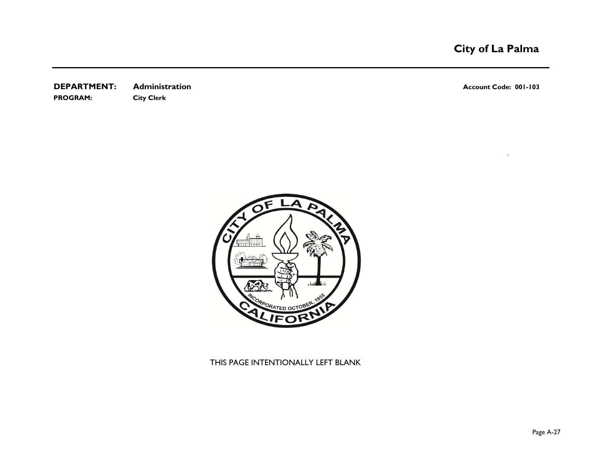**DEPARTMENT:** Administration **Account Code: 001-103 PROGRAM: City Clerk**

`



THIS PAGE INTENTIONALLY LEFT BLANK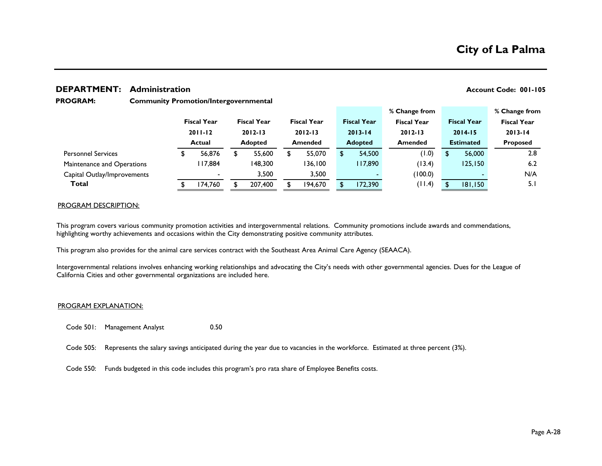### **DEPARTMENT:** Administration **Account Code: 001-105**

**City of La Palma**

#### **Community Promotion/Intergovernmental PROGRAM:**

|                             |             |                          |             |                    |             |                    |                    | % Change from      |         |                    |  | % Change from      |
|-----------------------------|-------------|--------------------------|-------------|--------------------|-------------|--------------------|--------------------|--------------------|---------|--------------------|--|--------------------|
|                             |             | <b>Fiscal Year</b>       |             | <b>Fiscal Year</b> |             | <b>Fiscal Year</b> | <b>Fiscal Year</b> | <b>Fiscal Year</b> |         | <b>Fiscal Year</b> |  | <b>Fiscal Year</b> |
|                             | $2011 - 12$ |                          | $2012 - 13$ |                    | $2012 - 13$ |                    | $2013 - 14$        | $2012 - 13$        |         | $2014 - 15$        |  | $2013 - 14$        |
|                             |             | Actual                   |             | <b>Adopted</b>     |             | <b>Amended</b>     | <b>Adopted</b>     | <b>Amended</b>     |         | <b>Estimated</b>   |  | <b>Proposed</b>    |
| <b>Personnel Services</b>   |             | 56,876                   |             | 55,600             |             | 55,070             | 54,500             |                    | (1.0)   | \$<br>56,000       |  | 2.8                |
| Maintenance and Operations  |             | 117,884                  |             | 148,300            |             | 136,100            | 117,890            |                    | (13.4)  | 125,150            |  | 6.2                |
| Capital Outlay/Improvements |             | $\overline{\phantom{a}}$ |             | 3,500              |             | 3,500              |                    |                    | (100.0) |                    |  | N/A                |
| Total                       |             | 174.760                  |             | 207,400            |             | 194,670            | 172,390            |                    | (11.4)  | 181,150            |  | 5.I                |
|                             |             |                          |             |                    |             |                    |                    |                    |         |                    |  |                    |

#### PROGRAM DESCRIPTION:

This program covers various community promotion activities and intergovernmental relations. Community promotions include awards and commendations, highlighting worthy achievements and occasions within the City demonstrating positive community attributes.

This program also provides for the animal care services contract with the Southeast Area Animal Care Agency (SEAACA).

Intergovernmental relations involves enhancing working relationships and advocating the City's needs with other governmental agencies. Dues for the League of California Cities and other governmental organizations are included here.

#### PROGRAM EXPLANATION:

Code 501: Management Analyst 0.50

- Code 505: Represents the salary savings anticipated during the year due to vacancies in the workforce. Estimated at three percent (3%).
- Code 550: Funds budgeted in this code includes this program's pro rata share of Employee Benefits costs.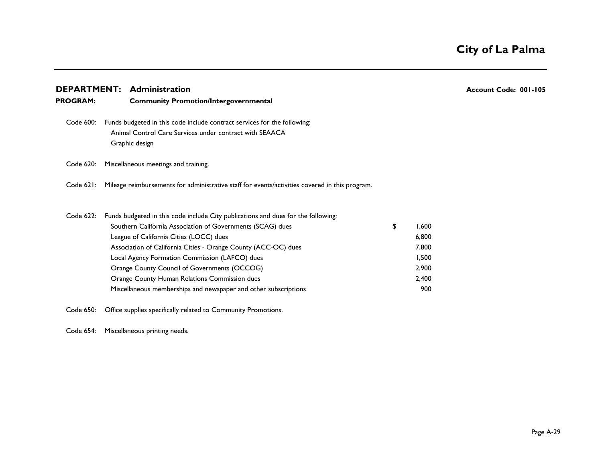| <b>DEPARTMENT:</b> |  | <b>Administration</b>                                                                                                                                 |             | Account Code: 001-105 |
|--------------------|--|-------------------------------------------------------------------------------------------------------------------------------------------------------|-------------|-----------------------|
| <b>PROGRAM:</b>    |  | <b>Community Promotion/Intergovernmental</b>                                                                                                          |             |                       |
| Code 600:          |  | Funds budgeted in this code include contract services for the following:<br>Animal Control Care Services under contract with SEAACA<br>Graphic design |             |                       |
| Code 620:          |  | Miscellaneous meetings and training.                                                                                                                  |             |                       |
| Code $621$ :       |  | Mileage reimbursements for administrative staff for events/activities covered in this program.                                                        |             |                       |
| Code 622:          |  | Funds budgeted in this code include City publications and dues for the following:                                                                     |             |                       |
|                    |  | Southern California Association of Governments (SCAG) dues                                                                                            | \$<br>1,600 |                       |
|                    |  | League of California Cities (LOCC) dues                                                                                                               | 6,800       |                       |
|                    |  | Association of California Cities - Orange County (ACC-OC) dues                                                                                        | 7,800       |                       |
|                    |  | Local Agency Formation Commission (LAFCO) dues                                                                                                        | 1,500       |                       |
|                    |  | Orange County Council of Governments (OCCOG)                                                                                                          | 2,900       |                       |
|                    |  | Orange County Human Relations Commission dues                                                                                                         | 2,400       |                       |
|                    |  | Miscellaneous memberships and newspaper and other subscriptions                                                                                       | 900         |                       |
| Code 650:          |  | Office supplies specifically related to Community Promotions.                                                                                         |             |                       |

Code 654: Miscellaneous printing needs.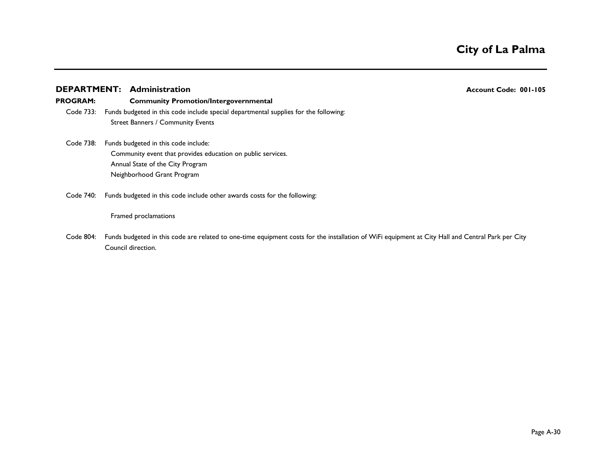#### **DEPARTMENT:** Administration **Account Code: 001-105**

#### **PROGRAM: Community Promotion/Intergovernmental**

- Code 733: Funds budgeted in this code include special departmental supplies for the following: Street Banners / Community Events
- Code 738: Funds budgeted in this code include: Community event that provides education on public services. Annual State of the City Program Neighborhood Grant Program
- Code 740: Funds budgeted in this code include other awards costs for the following:

#### Framed proclamations

Code 804: Funds budgeted in this code are related to one-time equipment costs for the installation of WiFi equipment at City Hall and Central Park per City Council direction.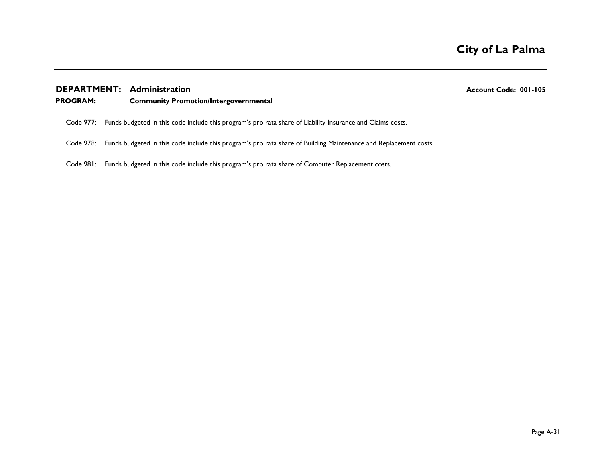### **DEPARTMENT:** Administration **Account Code: 001-105**

#### **PROGRAM: Community Promotion/Intergovernmental**

- Code 977: Funds budgeted in this code include this program's pro rata share of Liability Insurance and Claims costs.
- Code 978: Funds budgeted in this code include this program's pro rata share of Building Maintenance and Replacement costs.
- Code 981: Funds budgeted in this code include this program's pro rata share of Computer Replacement costs.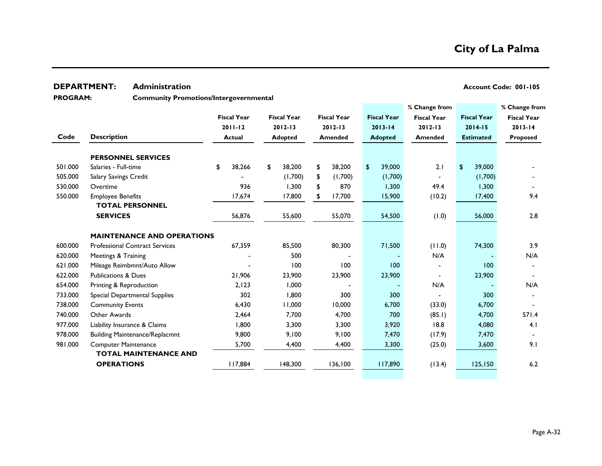### **DEPARTMENT:** Administration **Account Code: 001-105** Account Code: 001-105

**PROGRAM:** 

**Community Promotions/Intergovernmental**

|         |                                       |                    |                    |                    |                    | % Change from      |                    | % Change from      |
|---------|---------------------------------------|--------------------|--------------------|--------------------|--------------------|--------------------|--------------------|--------------------|
|         |                                       | <b>Fiscal Year</b> | <b>Fiscal Year</b> | <b>Fiscal Year</b> | <b>Fiscal Year</b> | <b>Fiscal Year</b> | <b>Fiscal Year</b> | <b>Fiscal Year</b> |
|         |                                       | $2011 - 12$        | 2012-13            | $2012 - 13$        | $2013 - 14$        | $2012 - 13$        | 2014-15            | $2013 - 14$        |
| Code    | <b>Description</b>                    | <b>Actual</b>      | <b>Adopted</b>     | <b>Amended</b>     | <b>Adopted</b>     | Amended            | <b>Estimated</b>   | <b>Proposed</b>    |
|         |                                       |                    |                    |                    |                    |                    |                    |                    |
|         | <b>PERSONNEL SERVICES</b>             |                    |                    |                    |                    |                    |                    |                    |
| 501.000 | Salaries - Full-time                  | 38,266<br>\$       | 38,200<br>\$       | \$<br>38,200       | 39,000<br>\$       | 2.1                | 39,000<br>\$       |                    |
| 505.000 | Salary Savings Credit                 |                    | (1,700)            | (1,700)<br>\$      | (1,700)            |                    | (1,700)            |                    |
| 530.000 | Overtime                              | 936                | 1,300              | 870<br>\$          | 1,300              | 49.4               | 1,300              |                    |
| 550.000 | <b>Employee Benefits</b>              | 17,674             | 17,800             | 17,700<br>\$       | 15,900             | (10.2)             | 17,400             | 9.4                |
|         | <b>TOTAL PERSONNEL</b>                |                    |                    |                    |                    |                    |                    |                    |
|         | <b>SERVICES</b>                       | 56,876             | 55,600             | 55,070             | 54,500             | (0.1)              | 56,000             | 2.8                |
|         |                                       |                    |                    |                    |                    |                    |                    |                    |
|         | <b>MAINTENANCE AND OPERATIONS</b>     |                    |                    |                    |                    |                    |                    |                    |
| 600.000 | <b>Professional Contract Services</b> | 67,359             | 85,500             | 80,300             | 71,500             | (11.0)             | 74,300             | 3.9                |
| 620.000 | Meetings & Training                   |                    | 500                |                    |                    | N/A                |                    | N/A                |
| 621.000 | Mileage Reimbmnt/Auto Allow           |                    | 100                | 100                | 100                |                    | 100                |                    |
| 622.000 | <b>Publications &amp; Dues</b>        | 21,906             | 23,900             | 23,900             | 23,900             |                    | 23,900             |                    |
| 654.000 | Printing & Reproduction               | 2,123              | 1,000              |                    |                    | N/A                |                    | N/A                |
| 733.000 | Special Departmental Supplies         | 302                | 1,800              | 300                | 300                |                    | 300                |                    |
| 738.000 | <b>Community Events</b>               | 6,430              | 11,000             | 10,000             | 6,700              | (33.0)             | 6,700              |                    |
| 740.000 | Other Awards                          | 2,464              | 7,700              | 4,700              | 700                | (85.1)             | 4,700              | 571.4              |
| 977.000 | Liability Insurance & Claims          | 1,800              | 3,300              | 3,300              | 3,920              | 18.8               | 4,080              | 4.1                |
| 978.000 | <b>Building Maintenance/Replacmnt</b> | 9,800              | 9,100              | 9,100              | 7,470              | (17.9)             | 7,470              |                    |
| 981.000 | <b>Computer Maintenance</b>           | 5,700              | 4,400              | 4,400              | 3,300              | (25.0)             | 3,600              | 9.1                |
|         | <b>TOTAL MAINTENANCE AND</b>          |                    |                    |                    |                    |                    |                    |                    |
|         | <b>OPERATIONS</b>                     | 117,884            | 148,300            | 136,100            | 117,890            | (13.4)             | 125, 150           | 6.2                |
|         |                                       |                    |                    |                    |                    |                    |                    |                    |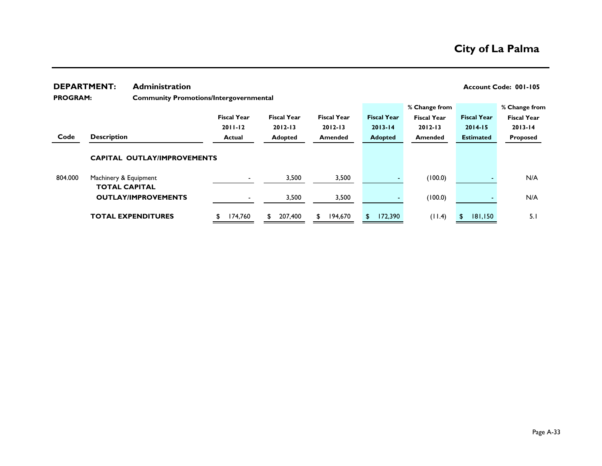|                            | <b>DEPARTMENT:</b>                            | <b>Administration</b>              |                                               |                    |     |                    |    |                    |    |                    |                    |                    |                    |  |
|----------------------------|-----------------------------------------------|------------------------------------|-----------------------------------------------|--------------------|-----|--------------------|----|--------------------|----|--------------------|--------------------|--------------------|--------------------|--|
| <b>PROGRAM:</b>            |                                               |                                    | <b>Community Promotions/Intergovernmental</b> |                    |     |                    |    |                    |    |                    |                    |                    |                    |  |
|                            |                                               |                                    |                                               |                    |     |                    |    |                    |    |                    | % Change from      |                    | % Change from      |  |
|                            |                                               |                                    |                                               | <b>Fiscal Year</b> |     | <b>Fiscal Year</b> |    | <b>Fiscal Year</b> |    | <b>Fiscal Year</b> | <b>Fiscal Year</b> | <b>Fiscal Year</b> | <b>Fiscal Year</b> |  |
|                            |                                               |                                    |                                               | $2011 - 12$        |     | $2012 - 13$        |    | $2012 - 13$        |    | $2013 - 14$        | $2012 - 13$        | $2014 - 15$        | $2013 - 14$        |  |
| Code<br><b>Description</b> |                                               |                                    | <b>Actual</b>                                 |                    |     | <b>Adopted</b>     |    | <b>Amended</b>     |    | <b>Adopted</b>     | <b>Amended</b>     | <b>Estimated</b>   | Proposed           |  |
|                            |                                               | <b>CAPITAL OUTLAY/IMPROVEMENTS</b> |                                               |                    |     |                    |    |                    |    |                    |                    |                    |                    |  |
|                            |                                               |                                    |                                               |                    |     |                    |    |                    |    |                    |                    |                    |                    |  |
| 804.000                    | Machinery & Equipment<br><b>TOTAL CAPITAL</b> |                                    |                                               |                    |     | 3,500              |    | 3,500              |    |                    | (100.0)            |                    | N/A                |  |
|                            |                                               | <b>OUTLAY/IMPROVEMENTS</b>         |                                               |                    |     | 3,500              |    | 3,500              |    |                    | (100.0)            |                    | N/A                |  |
|                            |                                               | <b>TOTAL EXPENDITURES</b>          |                                               | 174,760            | SS. | 207,400            | S. | 194,670            | S. | 172,390            | (11.4)             | 181,150            | 5.1                |  |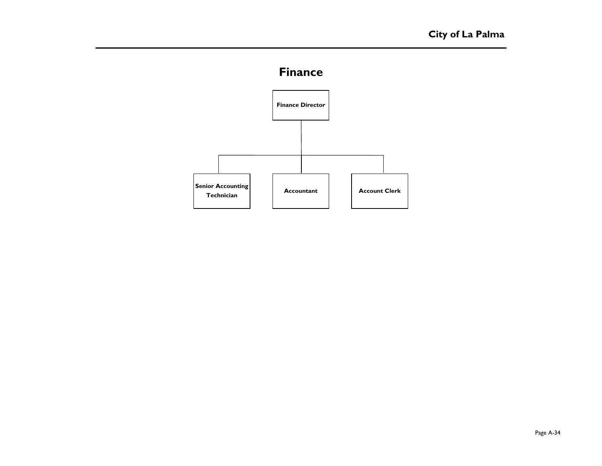# **Finance**

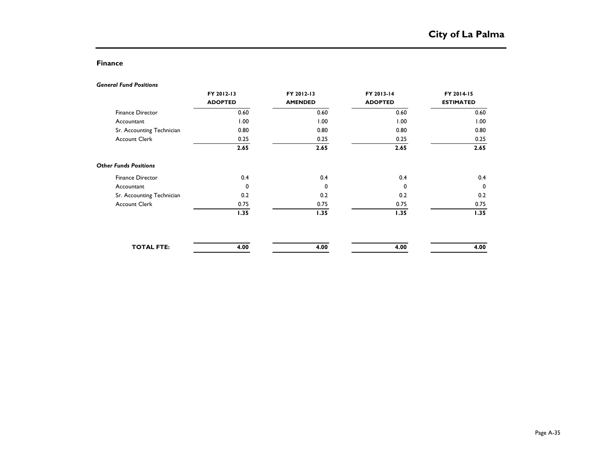## **Finance**

#### *General Fund Positions*

|                              | FY 2012-13     | FY 2012-13     | FY 2013-14     | FY 2014-15       |
|------------------------------|----------------|----------------|----------------|------------------|
|                              | <b>ADOPTED</b> | <b>AMENDED</b> | <b>ADOPTED</b> | <b>ESTIMATED</b> |
| Finance Director             | 0.60           | 0.60           | 0.60           | 0.60             |
| Accountant                   | 1.00           | 1.00           | 1.00           | 1.00             |
| Sr. Accounting Technician    | 0.80           | 0.80           | 0.80           | 0.80             |
| <b>Account Clerk</b>         | 0.25           | 0.25           | 0.25           | 0.25             |
|                              | 2.65           | 2.65           | 2.65           | 2.65             |
| <b>Other Funds Positions</b> |                |                |                |                  |
| Finance Director             | 0.4            | 0.4            | 0.4            | 0.4              |
| Accountant                   | $\mathbf 0$    | 0              | $\mathbf 0$    | 0                |
| Sr. Accounting Technician    | 0.2            | 0.2            | 0.2            | 0.2              |
| <b>Account Clerk</b>         | 0.75           | 0.75           | 0.75           | 0.75             |
|                              | 1.35           | 1.35           | 1.35           | 1.35             |
|                              |                |                |                |                  |
| <b>TOTAL FTE:</b>            | 4.00           | 4.00           | 4.00           | 4.00             |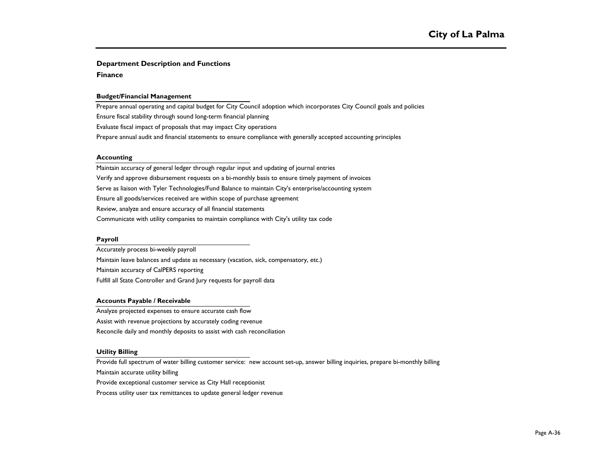#### **Department Description and Functions**

**Finance**

#### **Budget/Financial Management**

Prepare annual operating and capital budget for City Council adoption which incorporates City Council goals and policies Ensure fiscal stability through sound long-term financial planning Evaluate fiscal impact of proposals that may impact City operations Prepare annual audit and financial statements to ensure compliance with generally accepted accounting principles

#### **Accounting**

Maintain accuracy of general ledger through regular input and updating of journal entries Verify and approve disbursement requests on a bi-monthly basis to ensure timely payment of invoices Serve as liaison with Tyler Technologies/Fund Balance to maintain City's enterprise/accounting system Ensure all goods/services received are within scope of purchase agreement Review, analyze and ensure accuracy of all financial statements Communicate with utility companies to maintain compliance with City's utility tax code

#### **Payroll**

Accurately process bi-weekly payroll Maintain leave balances and update as necessary (vacation, sick, compensatory, etc.) Maintain accuracy of CalPERS reporting Fulfill all State Controller and Grand Jury requests for payroll data

#### **Accounts Payable / Receivable**

Analyze projected expenses to ensure accurate cash flow Assist with revenue projections by accurately coding revenue Reconcile daily and monthly deposits to assist with cash reconciliation

#### **Utility Billing**

Provide full spectrum of water billing customer service: new account set-up, answer billing inquiries, prepare bi-monthly billing

Maintain accurate utility billing

Provide exceptional customer service as City Hall receptionist

Process utility user tax remittances to update general ledger revenue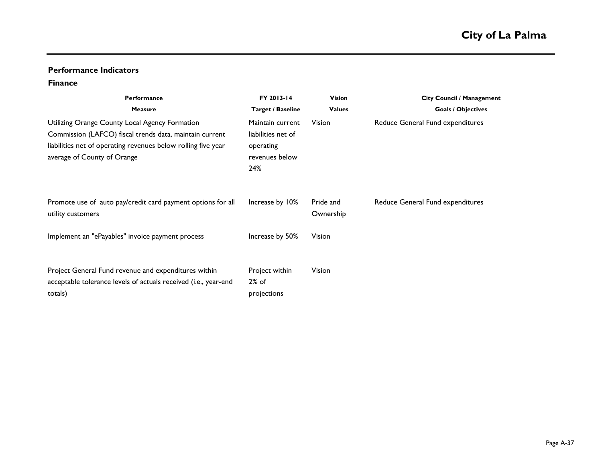# **Performance Indicators**

# **Finance**

| Performance<br><b>Measure</b>                                                                                                                                                                             | FY 2013-14<br><b>Target / Baseline</b>                                       | <b>Vision</b><br><b>Values</b> | <b>City Council / Management</b><br><b>Goals / Objectives</b> |
|-----------------------------------------------------------------------------------------------------------------------------------------------------------------------------------------------------------|------------------------------------------------------------------------------|--------------------------------|---------------------------------------------------------------|
| Utilizing Orange County Local Agency Formation<br>Commission (LAFCO) fiscal trends data, maintain current<br>liabilities net of operating revenues below rolling five year<br>average of County of Orange | Maintain current<br>liabilities net of<br>operating<br>revenues below<br>24% | Vision                         | Reduce General Fund expenditures                              |
| Promote use of auto pay/credit card payment options for all<br>utility customers                                                                                                                          | Increase by 10%                                                              | Pride and<br>Ownership         | Reduce General Fund expenditures                              |
| Implement an "ePayables" invoice payment process                                                                                                                                                          | Increase by 50%                                                              | Vision                         |                                                               |
| Project General Fund revenue and expenditures within<br>acceptable tolerance levels of actuals received (i.e., year-end<br>totals)                                                                        | Project within<br>$2%$ of<br>projections                                     | Vision                         |                                                               |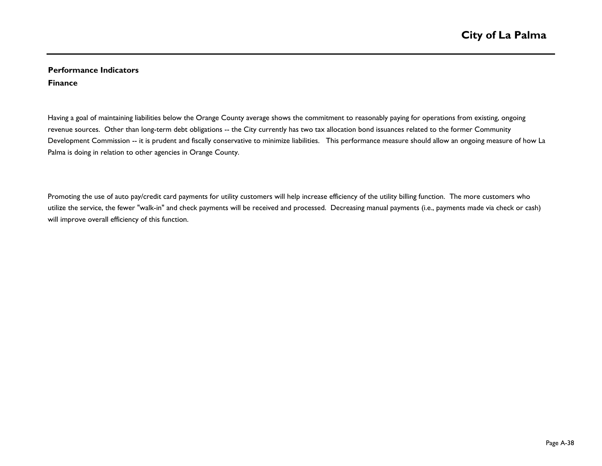# **Performance Indicators Finance**

Having a goal of maintaining liabilities below the Orange County average shows the commitment to reasonably paying for operations from existing, ongoing revenue sources. Other than long-term debt obligations -- the City currently has two tax allocation bond issuances related to the former Community Development Commission -- it is prudent and fiscally conservative to minimize liabilities. This performance measure should allow an ongoing measure of how La Palma is doing in relation to other agencies in Orange County.

Promoting the use of auto pay/credit card payments for utility customers will help increase efficiency of the utility billing function. The more customers who utilize the service, the fewer "walk-in" and check payments will be received and processed. Decreasing manual payments (i.e., payments made via check or cash) will improve overall efficiency of this function.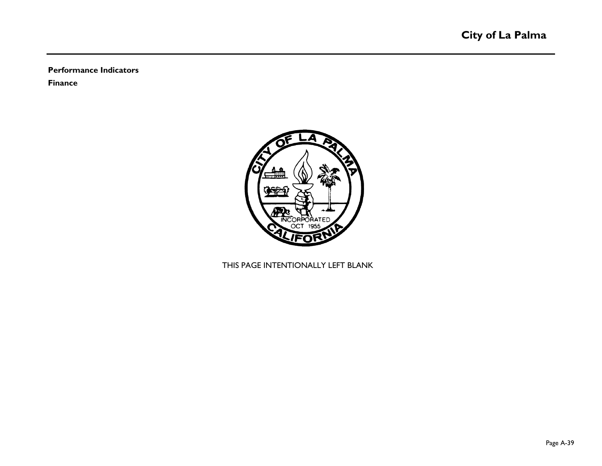**Performance Indicators**

**Finance**



# THIS PAGE INTENTIONALLY LEFT BLANK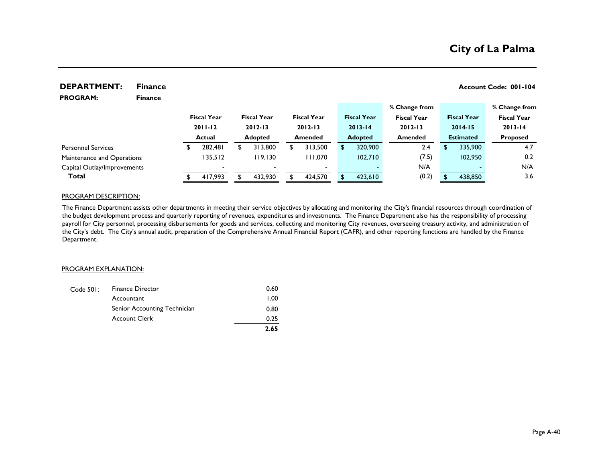| <b>DEPARTMENT:</b>          | <b>Finance</b> |                    |                    |                    |                    |                    |   |                    | Account Code: 001-104 |
|-----------------------------|----------------|--------------------|--------------------|--------------------|--------------------|--------------------|---|--------------------|-----------------------|
| <b>PROGRAM:</b>             | <b>Finance</b> |                    |                    |                    |                    |                    |   |                    |                       |
|                             |                |                    |                    |                    |                    | % Change from      |   |                    | % Change from         |
|                             |                | <b>Fiscal Year</b> | <b>Fiscal Year</b> | <b>Fiscal Year</b> | <b>Fiscal Year</b> | <b>Fiscal Year</b> |   | <b>Fiscal Year</b> | <b>Fiscal Year</b>    |
|                             |                | $2011 - 12$        | $2012 - 13$        | $2012 - 13$        | $2013 - 14$        | $2012 - 13$        |   | $2014 - 15$        | $2013 - 14$           |
|                             |                | <b>Actual</b>      | <b>Adopted</b>     | <b>Amended</b>     | <b>Adopted</b>     | <b>Amended</b>     |   | <b>Estimated</b>   | <b>Proposed</b>       |
| <b>Personnel Services</b>   |                | \$<br>282,481      | 313,800            | 313,500            | \$<br>320,900      | 2.4                | S | 335,900            | 4.7                   |
| Maintenance and Operations  |                | 135,512            | 119,130            | 111,070            | 102,710            | (7.5)              |   | 102,950            | 0.2                   |
| Capital Outlay/Improvements |                |                    |                    |                    |                    | N/A                |   |                    | N/A                   |
| Total                       |                | 417,993            | 432.930            | 424,570            | 423,610            | (0.2)              |   | 438,850            | 3.6                   |

#### PROGRAM DESCRIPTION:

The Finance Department assists other departments in meeting their service objectives by allocating and monitoring the City's financial resources through coordination of the budget development process and quarterly reporting of revenues, expenditures and investments. The Finance Department also has the responsibility of processing payroll for City personnel, processing disbursements for goods and services, collecting and monitoring City revenues, overseeing treasury activity, and administration of the City's debt. The City's annual audit, preparation of the Comprehensive Annual Financial Report (CAFR), and other reporting functions are handled by the Finance Department.

#### PROGRAM EXPLANATION:

|           |                              | 2.65 |
|-----------|------------------------------|------|
|           | <b>Account Clerk</b>         | 0.25 |
|           | Senior Accounting Technician | 0.80 |
|           | Accountant                   | 1.00 |
| Code 501: | <b>Finance Director</b>      | 0.60 |

#### Page A-40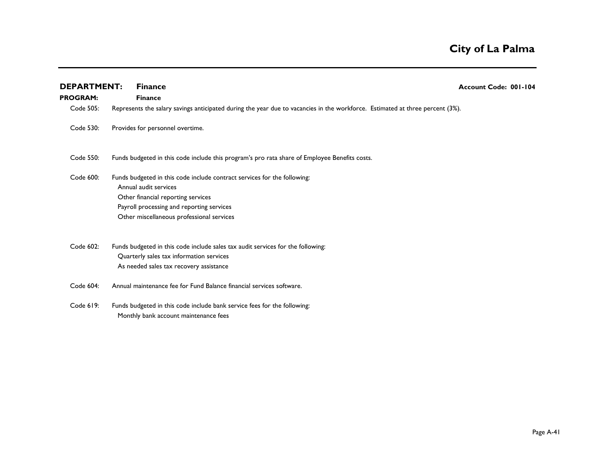| <b>DEPARTMENT:</b> | <b>Finance</b>                                                                                                                                                                                                                    | Account Code: 001-104 |
|--------------------|-----------------------------------------------------------------------------------------------------------------------------------------------------------------------------------------------------------------------------------|-----------------------|
| <b>PROGRAM:</b>    | <b>Finance</b>                                                                                                                                                                                                                    |                       |
| Code 505:          | Represents the salary savings anticipated during the year due to vacancies in the workforce. Estimated at three percent (3%).                                                                                                     |                       |
| Code 530:          | Provides for personnel overtime.                                                                                                                                                                                                  |                       |
| Code 550:          | Funds budgeted in this code include this program's pro rata share of Employee Benefits costs.                                                                                                                                     |                       |
| Code 600:          | Funds budgeted in this code include contract services for the following:<br>Annual audit services<br>Other financial reporting services<br>Payroll processing and reporting services<br>Other miscellaneous professional services |                       |
| Code 602:          | Funds budgeted in this code include sales tax audit services for the following:<br>Quarterly sales tax information services<br>As needed sales tax recovery assistance                                                            |                       |
| Code 604:          | Annual maintenance fee for Fund Balance financial services software.                                                                                                                                                              |                       |
| Code 619:          | Funds budgeted in this code include bank service fees for the following:<br>Monthly bank account maintenance fees                                                                                                                 |                       |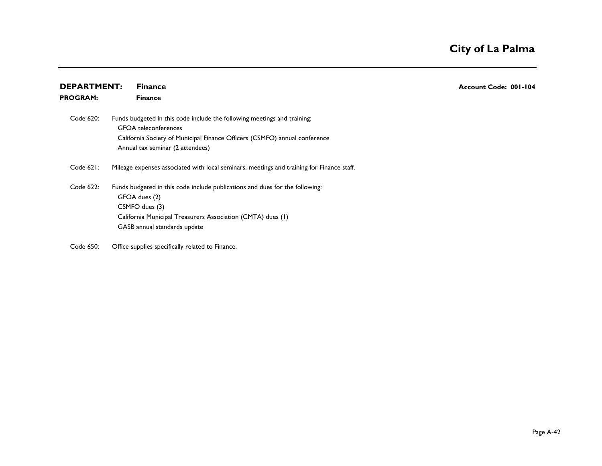| <b>DEPARTMENT:</b> |  | <b>Finance</b>                                                                                          | Account Code: 001-104 |
|--------------------|--|---------------------------------------------------------------------------------------------------------|-----------------------|
| <b>PROGRAM:</b>    |  | <b>Finance</b>                                                                                          |                       |
| Code 620:          |  | Funds budgeted in this code include the following meetings and training:<br><b>GFOA</b> teleconferences |                       |
|                    |  | California Society of Municipal Finance Officers (CSMFO) annual conference                              |                       |
|                    |  | Annual tax seminar (2 attendees)                                                                        |                       |
| Code 621:          |  | Mileage expenses associated with local seminars, meetings and training for Finance staff.               |                       |
| Code 622:          |  | Funds budgeted in this code include publications and dues for the following:                            |                       |
|                    |  | GFOA dues (2)                                                                                           |                       |
|                    |  | CSMFO dues (3)                                                                                          |                       |
|                    |  | California Municipal Treasurers Association (CMTA) dues (1)                                             |                       |
|                    |  | GASB annual standards update                                                                            |                       |
| Code 650:          |  | Office supplies specifically related to Finance.                                                        |                       |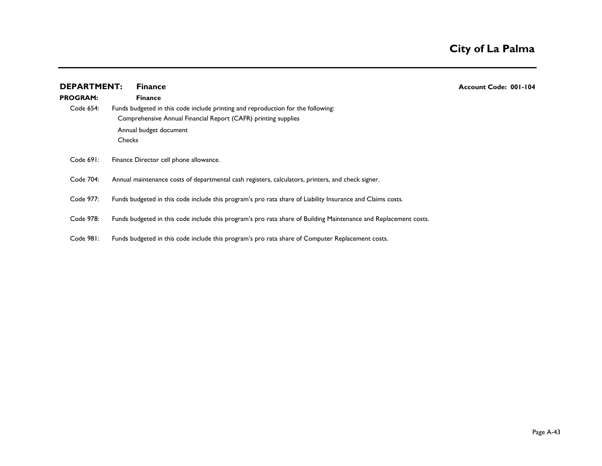| <b>DEPARTMENT:</b><br><b>PROGRAM:</b> | <b>Finance</b><br><b>Finance</b>                                                                                                                                                              | <b>Account Code: 001-104</b> |
|---------------------------------------|-----------------------------------------------------------------------------------------------------------------------------------------------------------------------------------------------|------------------------------|
| Code 654:                             | Funds budgeted in this code include printing and reproduction for the following:<br>Comprehensive Annual Financial Report (CAFR) printing supplies<br>Annual budget document<br><b>Checks</b> |                              |
| Code 691:                             | Finance Director cell phone allowance.                                                                                                                                                        |                              |
| Code 704:                             | Annual maintenance costs of departmental cash registers, calculators, printers, and check signer.                                                                                             |                              |
| Code 977:                             | Funds budgeted in this code include this program's pro rata share of Liability Insurance and Claims costs.                                                                                    |                              |
| Code 978:                             | Funds budgeted in this code include this program's pro rata share of Building Maintenance and Replacement costs.                                                                              |                              |
| Code 981:                             | Funds budgeted in this code include this program's pro rata share of Computer Replacement costs.                                                                                              |                              |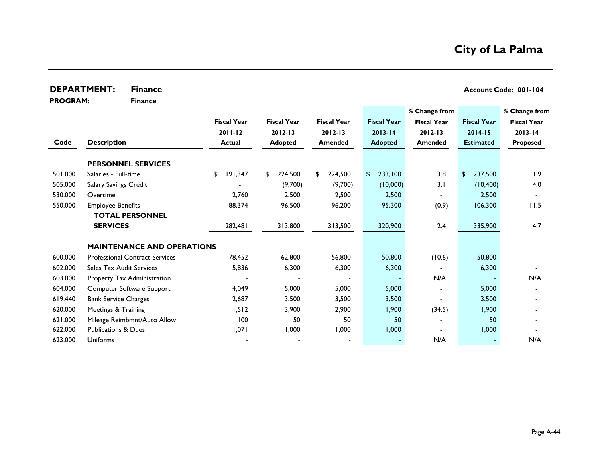## **DEPARTMENT:** Finance **Account Code: 001-104**

**PROGRAM:** 

**Finance**

|         |                                       |                    |                    |                    |                    | % Change from      |                    | % Change from      |
|---------|---------------------------------------|--------------------|--------------------|--------------------|--------------------|--------------------|--------------------|--------------------|
|         |                                       | <b>Fiscal Year</b> | <b>Fiscal Year</b> | <b>Fiscal Year</b> | <b>Fiscal Year</b> | <b>Fiscal Year</b> | <b>Fiscal Year</b> | <b>Fiscal Year</b> |
|         |                                       | $2011 - 12$        | $2012 - 13$        | 2012-13            | $2013 - 14$        | $2012 - 13$        | $2014 - 15$        | $2013 - 14$        |
| Code    | <b>Description</b>                    | Actual             | <b>Adopted</b>     | <b>Amended</b>     | <b>Adopted</b>     | <b>Amended</b>     | <b>Estimated</b>   | <b>Proposed</b>    |
|         | <b>PERSONNEL SERVICES</b>             |                    |                    |                    |                    |                    |                    |                    |
| 501.000 | Salaries - Full-time                  | 191,347<br>\$      | 224,500<br>\$      | 224,500<br>\$      | 233,100<br>\$      | 3.8                | 237,500<br>\$      | 1.9                |
| 505.000 | Salary Savings Credit                 |                    | (9,700)            | (9,700)            | (10,000)           | 3.1                | (10, 400)          | 4.0                |
| 530.000 | Overtime                              | 2,760              | 2,500              | 2,500              | 2,500              |                    | 2,500              |                    |
| 550.000 | <b>Employee Benefits</b>              | 88,374             | 96,500             | 96,200             | 95,300             | (0.9)              | 106,300            | 11.5               |
|         | <b>TOTAL PERSONNEL</b>                |                    |                    |                    |                    |                    |                    |                    |
|         | <b>SERVICES</b>                       | 282,481            | 313,800            | 313,500            | 320,900            | 2.4                | 335,900            | 4.7                |
|         | <b>MAINTENANCE AND OPERATIONS</b>     |                    |                    |                    |                    |                    |                    |                    |
| 600.000 | <b>Professional Contract Services</b> | 78,452             | 62,800             | 56,800             | 50,800             | (10.6)             | 50,800             |                    |
| 602.000 | <b>Sales Tax Audit Services</b>       | 5,836              | 6,300              | 6,300              | 6,300              |                    | 6,300              |                    |
| 603.000 | Property Tax Administration           |                    |                    |                    | $\blacksquare$     | N/A                |                    | N/A                |
| 604.000 | Computer Software Support             | 4,049              | 5,000              | 5,000              | 5,000              | $\blacksquare$     | 5,000              |                    |
| 619.440 | <b>Bank Service Charges</b>           | 2,687              | 3,500              | 3,500              | 3,500              |                    | 3,500              |                    |
| 620.000 | Meetings & Training                   | 1,512              | 3,900              | 2,900              | 1,900              | (34.5)             | 1,900              |                    |
| 621.000 | Mileage Reimbmnt/Auto Allow           | 100                | 50                 | 50                 | 50                 |                    | 50                 |                    |
| 622.000 | <b>Publications &amp; Dues</b>        | 1,071              | 1,000              | 1,000              | 1,000              |                    | 1,000              |                    |
| 623.000 | <b>Uniforms</b>                       |                    |                    |                    |                    | N/A                |                    | N/A                |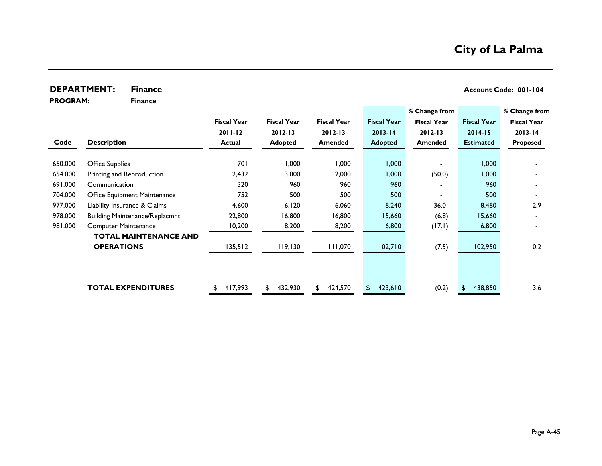## **DEPARTMENT:** Finance **Account Code: 001-104**

**PROGRAM:** 

**Finance**

|         |                                       |                    |                    |                    |                    | % Change from      |                    | % Change from      |
|---------|---------------------------------------|--------------------|--------------------|--------------------|--------------------|--------------------|--------------------|--------------------|
|         |                                       | <b>Fiscal Year</b> | <b>Fiscal Year</b> | <b>Fiscal Year</b> | <b>Fiscal Year</b> | <b>Fiscal Year</b> | <b>Fiscal Year</b> | <b>Fiscal Year</b> |
|         |                                       | $2011 - 12$        | $2012 - 13$        | $2012 - 13$        | $2013 - 14$        | $2012 - 13$        | $2014 - 15$        | $2013 - 14$        |
| Code    | <b>Description</b>                    | <b>Actual</b>      | Adopted            | <b>Amended</b>     | <b>Adopted</b>     | <b>Amended</b>     | <b>Estimated</b>   | <b>Proposed</b>    |
| 650.000 | <b>Office Supplies</b>                | 701                | 1,000              | 000,1              | 1,000              |                    | 000, 1             |                    |
| 654.000 | Printing and Reproduction             | 2,432              | 3,000              | 2,000              | 1,000              | (50.0)             | 1,000              |                    |
| 691.000 | Communication                         | 320                | 960                | 960                | 960                |                    | 960                |                    |
| 704.000 | Office Equipment Maintenance          | 752                | 500                | 500                | 500                |                    | 500                |                    |
| 977.000 | Liability Insurance & Claims          | 4,600              | 6, 120             | 6,060              | 8,240              | 36.0               | 8,480              | 2.9                |
| 978.000 | <b>Building Maintenance/Replacmnt</b> | 22,800             | 16,800             | 16,800             | 15,660             | (6.8)              | 15,660             |                    |
| 981.000 | <b>Computer Maintenance</b>           | 10,200             | 8,200              | 8,200              | 6,800              | (17.1)             | 6,800              |                    |
|         | <b>TOTAL MAINTENANCE AND</b>          |                    |                    |                    |                    |                    |                    |                    |
|         | <b>OPERATIONS</b>                     | 135,512            | 119,130            | 111,070            | 102,710            | (7.5)              | 102,950            | 0.2                |
|         |                                       |                    |                    |                    |                    |                    |                    |                    |
|         | <b>TOTAL EXPENDITURES</b>             | 417,993<br>\$      | 432,930<br>\$      | 424,570<br>\$      | 423,610<br>\$      | (0.2)              | 438,850            | 3.6                |